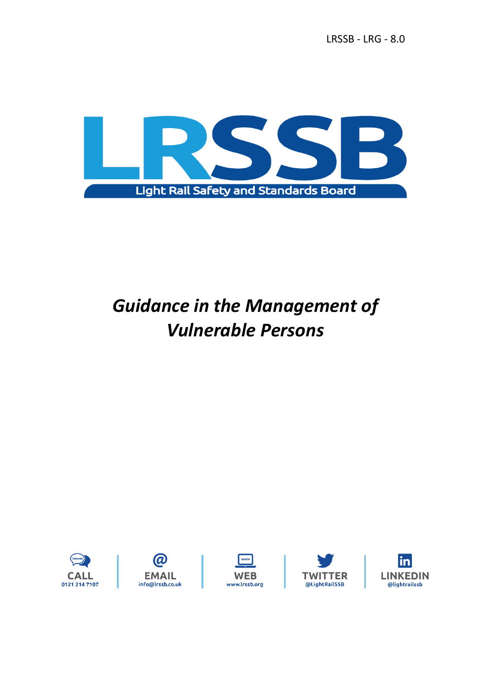

# *Guidance in the Management of Vulnerable Persons*









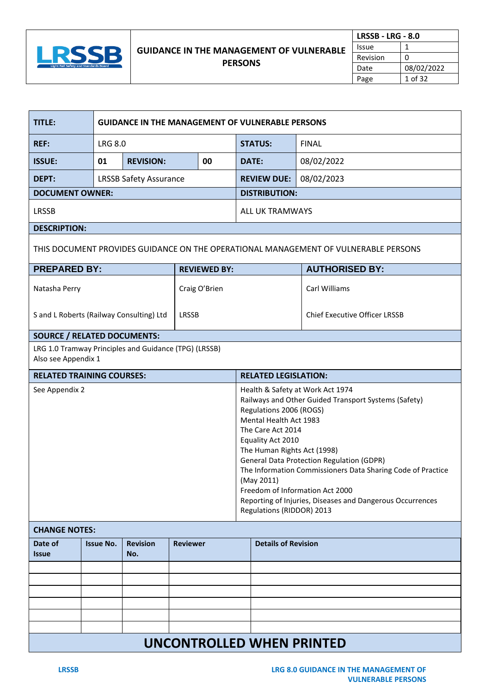

 $\mathbf{r}$ 

| TITLE:                                                                       |                  | <b>GUIDANCE IN THE MANAGEMENT OF VULNERABLE PERSONS</b> |                 |                     |                |                                                                                                                                                                       |                                                                                                                                                                                                                                                                                                             |
|------------------------------------------------------------------------------|------------------|---------------------------------------------------------|-----------------|---------------------|----------------|-----------------------------------------------------------------------------------------------------------------------------------------------------------------------|-------------------------------------------------------------------------------------------------------------------------------------------------------------------------------------------------------------------------------------------------------------------------------------------------------------|
| <b>REF:</b>                                                                  |                  | <b>LRG 8.0</b>                                          |                 |                     | <b>STATUS:</b> | <b>FINAL</b>                                                                                                                                                          |                                                                                                                                                                                                                                                                                                             |
| <b>ISSUE:</b>                                                                | 01               | 00<br><b>REVISION:</b>                                  |                 |                     | <b>DATE:</b>   | 08/02/2022                                                                                                                                                            |                                                                                                                                                                                                                                                                                                             |
| DEPT:                                                                        |                  | <b>LRSSB Safety Assurance</b>                           |                 |                     |                | <b>REVIEW DUE:</b>                                                                                                                                                    | 08/02/2023                                                                                                                                                                                                                                                                                                  |
| <b>DOCUMENT OWNER:</b>                                                       |                  |                                                         |                 |                     |                | <b>DISTRIBUTION:</b>                                                                                                                                                  |                                                                                                                                                                                                                                                                                                             |
| <b>LRSSB</b>                                                                 |                  |                                                         |                 |                     |                | ALL UK TRAMWAYS                                                                                                                                                       |                                                                                                                                                                                                                                                                                                             |
| <b>DESCRIPTION:</b>                                                          |                  |                                                         |                 |                     |                |                                                                                                                                                                       |                                                                                                                                                                                                                                                                                                             |
|                                                                              |                  |                                                         |                 |                     |                |                                                                                                                                                                       | THIS DOCUMENT PROVIDES GUIDANCE ON THE OPERATIONAL MANAGEMENT OF VULNERABLE PERSONS                                                                                                                                                                                                                         |
| <b>PREPARED BY:</b>                                                          |                  |                                                         |                 | <b>REVIEWED BY:</b> |                |                                                                                                                                                                       | <b>AUTHORISED BY:</b>                                                                                                                                                                                                                                                                                       |
| Natasha Perry                                                                |                  |                                                         |                 | Craig O'Brien       |                |                                                                                                                                                                       | Carl Williams                                                                                                                                                                                                                                                                                               |
| S and L Roberts (Railway Consulting) Ltd                                     |                  |                                                         | LRSSB           |                     |                |                                                                                                                                                                       | <b>Chief Executive Officer LRSSB</b>                                                                                                                                                                                                                                                                        |
| <b>SOURCE / RELATED DOCUMENTS:</b>                                           |                  |                                                         |                 |                     |                |                                                                                                                                                                       |                                                                                                                                                                                                                                                                                                             |
| LRG 1.0 Tramway Principles and Guidance (TPG) (LRSSB)<br>Also see Appendix 1 |                  |                                                         |                 |                     |                |                                                                                                                                                                       |                                                                                                                                                                                                                                                                                                             |
| <b>RELATED TRAINING COURSES:</b>                                             |                  |                                                         |                 |                     |                | <b>RELATED LEGISLATION:</b>                                                                                                                                           |                                                                                                                                                                                                                                                                                                             |
| See Appendix 2                                                               |                  |                                                         |                 |                     |                | Regulations 2006 (ROGS)<br>Mental Health Act 1983<br>The Care Act 2014<br>Equality Act 2010<br>The Human Rights Act (1998)<br>(May 2011)<br>Regulations (RIDDOR) 2013 | Health & Safety at Work Act 1974<br>Railways and Other Guided Transport Systems (Safety)<br><b>General Data Protection Regulation (GDPR)</b><br>The Information Commissioners Data Sharing Code of Practice<br>Freedom of Information Act 2000<br>Reporting of Injuries, Diseases and Dangerous Occurrences |
| <b>CHANGE NOTES:</b><br><b>Details of Revision</b>                           |                  |                                                         |                 |                     |                |                                                                                                                                                                       |                                                                                                                                                                                                                                                                                                             |
| Date of<br><b>Issue</b>                                                      | <b>Issue No.</b> | <b>Revision</b><br>No.                                  | <b>Reviewer</b> |                     |                |                                                                                                                                                                       |                                                                                                                                                                                                                                                                                                             |
|                                                                              |                  |                                                         |                 |                     |                |                                                                                                                                                                       |                                                                                                                                                                                                                                                                                                             |
|                                                                              |                  |                                                         |                 |                     |                |                                                                                                                                                                       |                                                                                                                                                                                                                                                                                                             |
|                                                                              |                  |                                                         |                 |                     |                |                                                                                                                                                                       |                                                                                                                                                                                                                                                                                                             |
|                                                                              |                  |                                                         |                 |                     |                |                                                                                                                                                                       |                                                                                                                                                                                                                                                                                                             |
|                                                                              |                  |                                                         |                 |                     |                |                                                                                                                                                                       |                                                                                                                                                                                                                                                                                                             |
| UNCONTROLLED WHEN PRINTED                                                    |                  |                                                         |                 |                     |                |                                                                                                                                                                       |                                                                                                                                                                                                                                                                                                             |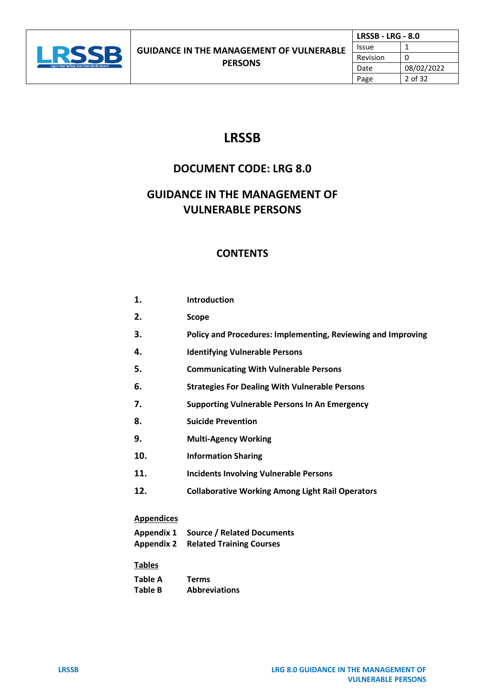

# **LRSSB**

# **DOCUMENT CODE: LRG 8.0**

# **GUIDANCE IN THE MANAGEMENT OF VULNERABLE PERSONS**

# **CONTENTS**

| 1.  | <b>Introduction</b>                                          |
|-----|--------------------------------------------------------------|
| 2.  | Scope                                                        |
| З.  | Policy and Procedures: Implementing, Reviewing and Improving |
| 4.  | <b>Identifying Vulnerable Persons</b>                        |
| 5.  | <b>Communicating With Vulnerable Persons</b>                 |
| 6.  | <b>Strategies For Dealing With Vulnerable Persons</b>        |
| 7.  | <b>Supporting Vulnerable Persons In An Emergency</b>         |
| 8.  | <b>Suicide Prevention</b>                                    |
| 9.  | <b>Multi-Agency Working</b>                                  |
| 10. | <b>Information Sharing</b>                                   |
| 11. | <b>Incidents Involving Vulnerable Persons</b>                |

**12. Collaborative Working Among Light Rail Operators**

# **Appendices**

|                   | Appendix 1 Source / Related Documents |
|-------------------|---------------------------------------|
| <b>Appendix 2</b> | <b>Related Training Courses</b>       |

#### **Tables**

| Table A | <b>Terms</b>         |
|---------|----------------------|
| Table B | <b>Abbreviations</b> |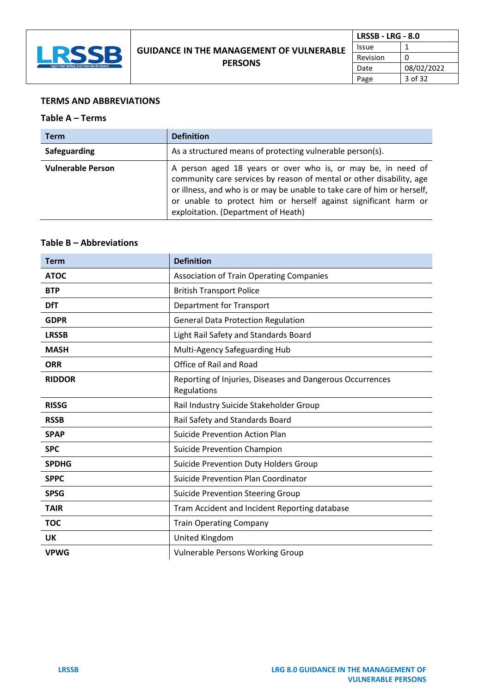

| <b>LRSSB - LRG - 8.0</b> |            |  |
|--------------------------|------------|--|
| Issue                    |            |  |
| Revision                 |            |  |
| Date                     | 08/02/2022 |  |
| Page                     | 3 of 32    |  |

# **TERMS AND ABBREVIATIONS**

# **Table A – Terms**

| <b>Term</b>              | <b>Definition</b>                                                                                                                                                                                                                                                                                                         |
|--------------------------|---------------------------------------------------------------------------------------------------------------------------------------------------------------------------------------------------------------------------------------------------------------------------------------------------------------------------|
| Safeguarding             | As a structured means of protecting vulnerable person(s).                                                                                                                                                                                                                                                                 |
| <b>Vulnerable Person</b> | A person aged 18 years or over who is, or may be, in need of<br>community care services by reason of mental or other disability, age<br>or illness, and who is or may be unable to take care of him or herself,<br>or unable to protect him or herself against significant harm or<br>exploitation. (Department of Heath) |

# **Table B – Abbreviations**

| <b>Term</b>   | <b>Definition</b>                                                        |
|---------------|--------------------------------------------------------------------------|
| <b>ATOC</b>   | <b>Association of Train Operating Companies</b>                          |
| <b>BTP</b>    | <b>British Transport Police</b>                                          |
| <b>DfT</b>    | <b>Department for Transport</b>                                          |
| <b>GDPR</b>   | <b>General Data Protection Regulation</b>                                |
| <b>LRSSB</b>  | Light Rail Safety and Standards Board                                    |
| <b>MASH</b>   | Multi-Agency Safeguarding Hub                                            |
| <b>ORR</b>    | Office of Rail and Road                                                  |
| <b>RIDDOR</b> | Reporting of Injuries, Diseases and Dangerous Occurrences<br>Regulations |
| <b>RISSG</b>  | Rail Industry Suicide Stakeholder Group                                  |
| <b>RSSB</b>   | Rail Safety and Standards Board                                          |
| <b>SPAP</b>   | <b>Suicide Prevention Action Plan</b>                                    |
| <b>SPC</b>    | <b>Suicide Prevention Champion</b>                                       |
| <b>SPDHG</b>  | <b>Suicide Prevention Duty Holders Group</b>                             |
| <b>SPPC</b>   | Suicide Prevention Plan Coordinator                                      |
| <b>SPSG</b>   | <b>Suicide Prevention Steering Group</b>                                 |
| <b>TAIR</b>   | Tram Accident and Incident Reporting database                            |
| <b>TOC</b>    | <b>Train Operating Company</b>                                           |
| UK            | United Kingdom                                                           |
| <b>VPWG</b>   | <b>Vulnerable Persons Working Group</b>                                  |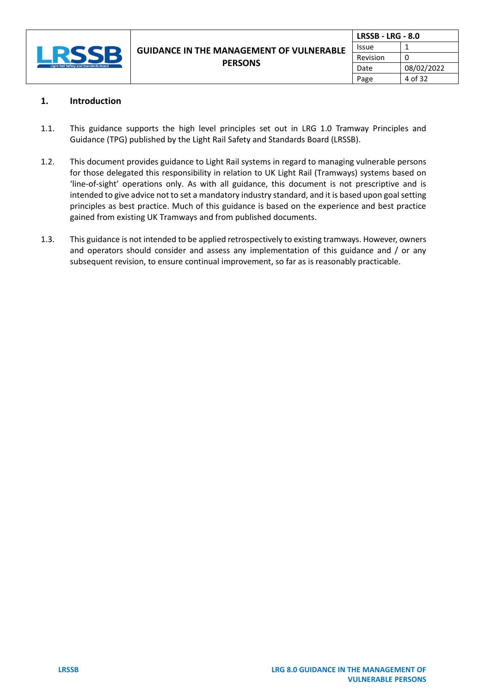

# **1. Introduction**

- 1.1. This guidance supports the high level principles set out in LRG 1.0 Tramway Principles and Guidance (TPG) published by the Light Rail Safety and Standards Board (LRSSB).
- 1.2. This document provides guidance to Light Rail systems in regard to managing vulnerable persons for those delegated this responsibility in relation to UK Light Rail (Tramways) systems based on 'line-of-sight' operations only. As with all guidance, this document is not prescriptive and is intended to give advice not to set a mandatory industry standard, and it is based upon goal setting principles as best practice. Much of this guidance is based on the experience and best practice gained from existing UK Tramways and from published documents.
- 1.3. This guidance is not intended to be applied retrospectively to existing tramways. However, owners and operators should consider and assess any implementation of this guidance and / or any subsequent revision, to ensure continual improvement, so far as is reasonably practicable.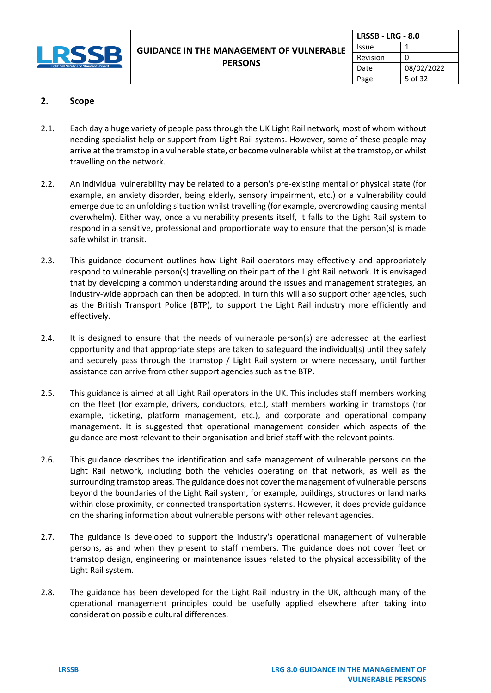

| <b>LRSSB - LRG - 8.0</b> |            |  |
|--------------------------|------------|--|
| Issue                    |            |  |
| Revision                 | O          |  |
| Date                     | 08/02/2022 |  |
| Page                     | 5 of 32    |  |

# **2. Scope**

- 2.1. Each day a huge variety of people pass through the UK Light Rail network, most of whom without needing specialist help or support from Light Rail systems. However, some of these people may arrive at the tramstop in a vulnerable state, or become vulnerable whilst at the tramstop, or whilst travelling on the network.
- 2.2. An individual vulnerability may be related to a person's pre-existing mental or physical state (for example, an anxiety disorder, being elderly, sensory impairment, etc.) or a vulnerability could emerge due to an unfolding situation whilst travelling (for example, overcrowding causing mental overwhelm). Either way, once a vulnerability presents itself, it falls to the Light Rail system to respond in a sensitive, professional and proportionate way to ensure that the person(s) is made safe whilst in transit.
- 2.3. This guidance document outlines how Light Rail operators may effectively and appropriately respond to vulnerable person(s) travelling on their part of the Light Rail network. It is envisaged that by developing a common understanding around the issues and management strategies, an industry-wide approach can then be adopted. In turn this will also support other agencies, such as the British Transport Police (BTP), to support the Light Rail industry more efficiently and effectively.
- 2.4. It is designed to ensure that the needs of vulnerable person(s) are addressed at the earliest opportunity and that appropriate steps are taken to safeguard the individual(s) until they safely and securely pass through the tramstop / Light Rail system or where necessary, until further assistance can arrive from other support agencies such as the BTP.
- 2.5. This guidance is aimed at all Light Rail operators in the UK. This includes staff members working on the fleet (for example, drivers, conductors, etc.), staff members working in tramstops (for example, ticketing, platform management, etc.), and corporate and operational company management. It is suggested that operational management consider which aspects of the guidance are most relevant to their organisation and brief staff with the relevant points.
- 2.6. This guidance describes the identification and safe management of vulnerable persons on the Light Rail network, including both the vehicles operating on that network, as well as the surrounding tramstop areas. The guidance does not cover the management of vulnerable persons beyond the boundaries of the Light Rail system, for example, buildings, structures or landmarks within close proximity, or connected transportation systems. However, it does provide guidance on the sharing information about vulnerable persons with other relevant agencies.
- 2.7. The guidance is developed to support the industry's operational management of vulnerable persons, as and when they present to staff members. The guidance does not cover fleet or tramstop design, engineering or maintenance issues related to the physical accessibility of the Light Rail system.
- 2.8. The guidance has been developed for the Light Rail industry in the UK, although many of the operational management principles could be usefully applied elsewhere after taking into consideration possible cultural differences.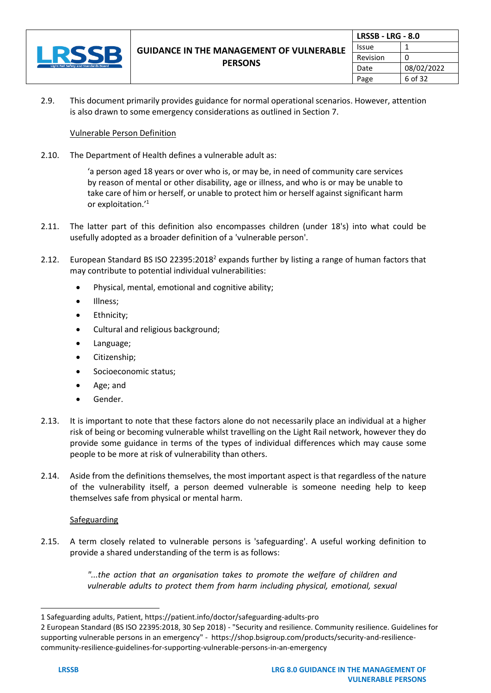

2.9. This document primarily provides guidance for normal operational scenarios. However, attention is also drawn to some emergency considerations as outlined in Section 7.

# Vulnerable Person Definition

2.10. The Department of Health defines a vulnerable adult as:

'a person aged 18 years or over who is, or may be, in need of community care services by reason of mental or other disability, age or illness, and who is or may be unable to take care of him or herself, or unable to protect him or herself against significant harm or exploitation.' 1

- 2.11. The latter part of this definition also encompasses children (under 18's) into what could be usefully adopted as a broader definition of a 'vulnerable person'.
- 2.12. European Standard BS ISO 22395:2018<sup>2</sup> expands further by listing a range of human factors that may contribute to potential individual vulnerabilities:
	- Physical, mental, emotional and cognitive ability;
	- Illness;
	- Ethnicity;
	- Cultural and religious background;
	- Language;
	- Citizenship;
	- Socioeconomic status;
	- Age; and
	- Gender.
- 2.13. It is important to note that these factors alone do not necessarily place an individual at a higher risk of being or becoming vulnerable whilst travelling on the Light Rail network, however they do provide some guidance in terms of the types of individual differences which may cause some people to be more at risk of vulnerability than others.
- 2.14. Aside from the definitions themselves, the most important aspect is that regardless of the nature of the vulnerability itself, a person deemed vulnerable is someone needing help to keep themselves safe from physical or mental harm.

#### **Safeguarding**

2.15. A term closely related to vulnerable persons is 'safeguarding'. A useful working definition to provide a shared understanding of the term is as follows:

> *"...the action that an organisation takes to promote the welfare of children and vulnerable adults to protect them from harm including physical, emotional, sexual*

<sup>1</sup> Safeguarding adults, Patient,<https://patient.info/doctor/safeguarding-adults-pro>

<sup>2</sup> European Standard (BS ISO 22395:2018, 30 Sep 2018) - "Security and resilience. Community resilience. Guidelines for supporting vulnerable persons in an emergency" - [https://shop.bsigroup.com/products/security-and-resilience](https://shop.bsigroup.com/products/security-and-resilience-community-resilience-guidelines-for-supporting-vulnerable-persons-in-an-emergency)[community-resilience-guidelines-for-supporting-vulnerable-persons-in-an-emergency](https://shop.bsigroup.com/products/security-and-resilience-community-resilience-guidelines-for-supporting-vulnerable-persons-in-an-emergency)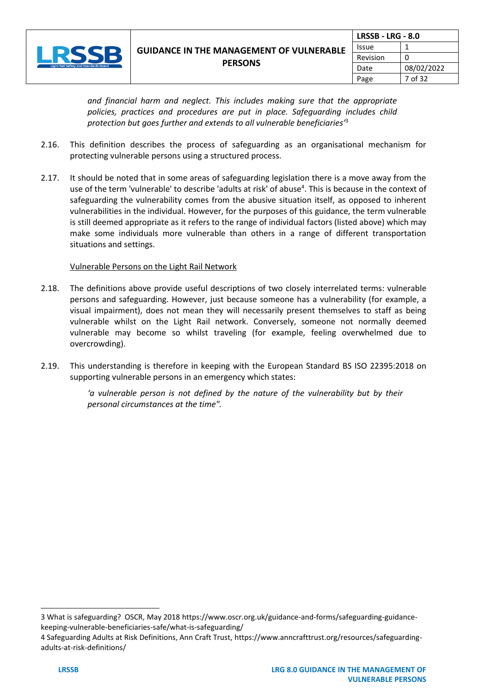

*and financial harm and neglect. This includes making sure that the appropriate policies, practices and procedures are put in place. Safeguarding includes child protection but goes further and extends to all vulnerable beneficiaries'* 3

- 2.16. This definition describes the process of safeguarding as an organisational mechanism for protecting vulnerable persons using a structured process.
- 2.17. It should be noted that in some areas of safeguarding legislation there is a move away from the use of the term 'vulnerable' to describe 'adults at risk' of abuse<sup>4</sup>. This is because in the context of safeguarding the vulnerability comes from the abusive situation itself, as opposed to inherent vulnerabilities in the individual. However, for the purposes of this guidance, the term vulnerable is still deemed appropriate as it refers to the range of individual factors (listed above) which may make some individuals more vulnerable than others in a range of different transportation situations and settings.

#### Vulnerable Persons on the Light Rail Network

- 2.18. The definitions above provide useful descriptions of two closely interrelated terms: vulnerable persons and safeguarding. However, just because someone has a vulnerability (for example, a visual impairment), does not mean they will necessarily present themselves to staff as being vulnerable whilst on the Light Rail network. Conversely, someone not normally deemed vulnerable may become so whilst traveling (for example, feeling overwhelmed due to overcrowding).
- 2.19. This understanding is therefore in keeping with the European Standard BS ISO 22395:2018 on supporting vulnerable persons in an emergency which states:

*'a vulnerable person is not defined by the nature of the vulnerability but by their personal circumstances at the time".*

<sup>3</sup> What is safeguarding? OSCR, May 2018 [https://www.oscr.org.uk/guidance-and-forms/safeguarding-guidance](https://www.oscr.org.uk/guidance-and-forms/safeguarding-guidance-keeping-vulnerable-beneficiaries-safe/what-is-safeguarding/)[keeping-vulnerable-beneficiaries-safe/what-is-safeguarding/](https://www.oscr.org.uk/guidance-and-forms/safeguarding-guidance-keeping-vulnerable-beneficiaries-safe/what-is-safeguarding/)

<sup>4</sup> Safeguarding Adults at Risk Definitions, Ann Craft Trust[, https://www.anncrafttrust.org/resources/safeguarding](https://www.anncrafttrust.org/resources/safeguarding-adults-at-risk-definitions/)[adults-at-risk-definitions/](https://www.anncrafttrust.org/resources/safeguarding-adults-at-risk-definitions/)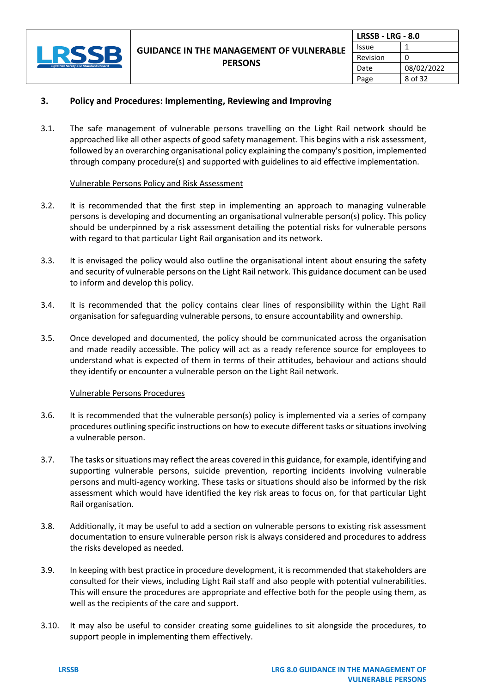

| LRSSB - LRG - 8.0 |            |  |
|-------------------|------------|--|
| Issue             |            |  |
| Revision          | n          |  |
| Date              | 08/02/2022 |  |
| Page              | 8 of 32    |  |

# **3. Policy and Procedures: Implementing, Reviewing and Improving**

3.1. The safe management of vulnerable persons travelling on the Light Rail network should be approached like all other aspects of good safety management. This begins with a risk assessment, followed by an overarching organisational policy explaining the company's position, implemented through company procedure(s) and supported with guidelines to aid effective implementation.

#### Vulnerable Persons Policy and Risk Assessment

- 3.2. It is recommended that the first step in implementing an approach to managing vulnerable persons is developing and documenting an organisational vulnerable person(s) policy. This policy should be underpinned by a risk assessment detailing the potential risks for vulnerable persons with regard to that particular Light Rail organisation and its network.
- 3.3. It is envisaged the policy would also outline the organisational intent about ensuring the safety and security of vulnerable persons on the Light Rail network. This guidance document can be used to inform and develop this policy.
- 3.4. It is recommended that the policy contains clear lines of responsibility within the Light Rail organisation for safeguarding vulnerable persons, to ensure accountability and ownership.
- 3.5. Once developed and documented, the policy should be communicated across the organisation and made readily accessible. The policy will act as a ready reference source for employees to understand what is expected of them in terms of their attitudes, behaviour and actions should they identify or encounter a vulnerable person on the Light Rail network.

#### Vulnerable Persons Procedures

- 3.6. It is recommended that the vulnerable person(s) policy is implemented via a series of company procedures outlining specific instructions on how to execute different tasks or situations involving a vulnerable person.
- 3.7. The tasks or situations may reflect the areas covered in this guidance, for example, identifying and supporting vulnerable persons, suicide prevention, reporting incidents involving vulnerable persons and multi-agency working. These tasks or situations should also be informed by the risk assessment which would have identified the key risk areas to focus on, for that particular Light Rail organisation.
- 3.8. Additionally, it may be useful to add a section on vulnerable persons to existing risk assessment documentation to ensure vulnerable person risk is always considered and procedures to address the risks developed as needed.
- 3.9. In keeping with best practice in procedure development, it is recommended that stakeholders are consulted for their views, including Light Rail staff and also people with potential vulnerabilities. This will ensure the procedures are appropriate and effective both for the people using them, as well as the recipients of the care and support.
- 3.10. It may also be useful to consider creating some guidelines to sit alongside the procedures, to support people in implementing them effectively.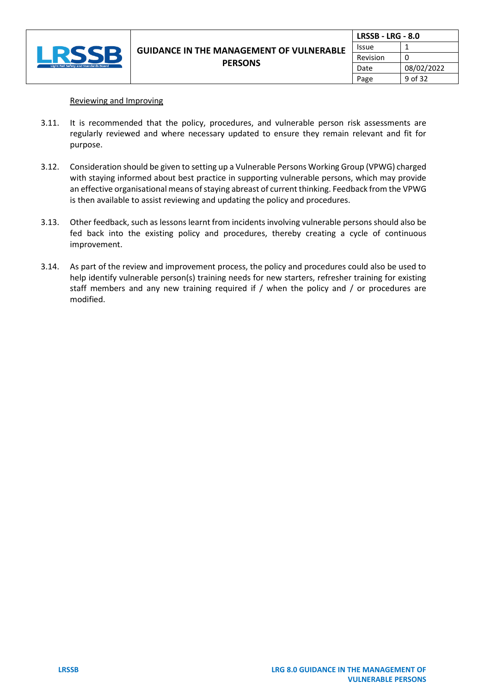

| LRSSB - LRG - 8.0 |            |  |
|-------------------|------------|--|
| Issue             |            |  |
| Revision          | $\Omega$   |  |
| Date              | 08/02/2022 |  |
| Page              | 9 of 32    |  |

#### Reviewing and Improving

- 3.11. It is recommended that the policy, procedures, and vulnerable person risk assessments are regularly reviewed and where necessary updated to ensure they remain relevant and fit for purpose.
- 3.12. Consideration should be given to setting up a Vulnerable Persons Working Group (VPWG) charged with staying informed about best practice in supporting vulnerable persons, which may provide an effective organisational means of staying abreast of current thinking. Feedback from the VPWG is then available to assist reviewing and updating the policy and procedures.
- 3.13. Other feedback, such as lessons learnt from incidents involving vulnerable persons should also be fed back into the existing policy and procedures, thereby creating a cycle of continuous improvement.
- 3.14. As part of the review and improvement process, the policy and procedures could also be used to help identify vulnerable person(s) training needs for new starters, refresher training for existing staff members and any new training required if / when the policy and / or procedures are modified.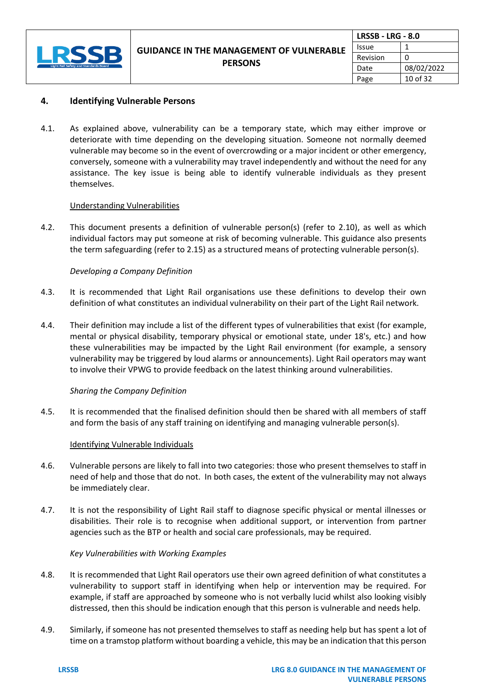

| <b>LRSSB - LRG - 8.0</b> |            |  |
|--------------------------|------------|--|
| Issue                    |            |  |
| Revision                 | 0          |  |
| Date                     | 08/02/2022 |  |
| Page                     | 10 of 32   |  |

# **4. Identifying Vulnerable Persons**

4.1. As explained above, vulnerability can be a temporary state, which may either improve or deteriorate with time depending on the developing situation. Someone not normally deemed vulnerable may become so in the event of overcrowding or a major incident or other emergency, conversely, someone with a vulnerability may travel independently and without the need for any assistance. The key issue is being able to identify vulnerable individuals as they present themselves.

#### Understanding Vulnerabilities

4.2. This document presents a definition of vulnerable person(s) (refer to 2.10), as well as which individual factors may put someone at risk of becoming vulnerable. This guidance also presents the term safeguarding (refer to 2.15) as a structured means of protecting vulnerable person(s).

### *Developing a Company Definition*

- 4.3. It is recommended that Light Rail organisations use these definitions to develop their own definition of what constitutes an individual vulnerability on their part of the Light Rail network.
- 4.4. Their definition may include a list of the different types of vulnerabilities that exist (for example, mental or physical disability, temporary physical or emotional state, under 18's, etc.) and how these vulnerabilities may be impacted by the Light Rail environment (for example, a sensory vulnerability may be triggered by loud alarms or announcements). Light Rail operators may want to involve their VPWG to provide feedback on the latest thinking around vulnerabilities.

#### *Sharing the Company Definition*

4.5. It is recommended that the finalised definition should then be shared with all members of staff and form the basis of any staff training on identifying and managing vulnerable person(s).

#### Identifying Vulnerable Individuals

- 4.6. Vulnerable persons are likely to fall into two categories: those who present themselves to staff in need of help and those that do not. In both cases, the extent of the vulnerability may not always be immediately clear.
- 4.7. It is not the responsibility of Light Rail staff to diagnose specific physical or mental illnesses or disabilities. Their role is to recognise when additional support, or intervention from partner agencies such as the BTP or health and social care professionals, may be required.

#### *Key Vulnerabilities with Working Examples*

- 4.8. It is recommended that Light Rail operators use their own agreed definition of what constitutes a vulnerability to support staff in identifying when help or intervention may be required. For example, if staff are approached by someone who is not verbally lucid whilst also looking visibly distressed, then this should be indication enough that this person is vulnerable and needs help.
- 4.9. Similarly, if someone has not presented themselves to staff as needing help but has spent a lot of time on a tramstop platform without boarding a vehicle, this may be an indication that this person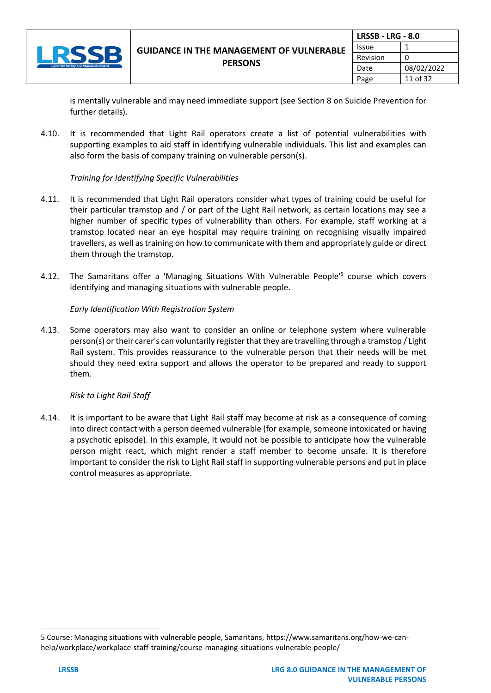

is mentally vulnerable and may need immediate support (see Section 8 on Suicide Prevention for further details).

4.10. It is recommended that Light Rail operators create a list of potential vulnerabilities with supporting examples to aid staff in identifying vulnerable individuals. This list and examples can also form the basis of company training on vulnerable person(s).

# *Training for Identifying Specific Vulnerabilities*

- 4.11. It is recommended that Light Rail operators consider what types of training could be useful for their particular tramstop and / or part of the Light Rail network, as certain locations may see a higher number of specific types of vulnerability than others. For example, staff working at a tramstop located near an eye hospital may require training on recognising visually impaired travellers, as well as training on how to communicate with them and appropriately guide or direct them through the tramstop.
- 4.12. The Samaritans offer a 'Managing Situations With Vulnerable People<sup>15</sup> course which covers identifying and managing situations with vulnerable people.

# *Early Identification With Registration System*

4.13. Some operators may also want to consider an online or telephone system where vulnerable person(s) or their carer's can voluntarily register that they are travelling through a tramstop / Light Rail system. This provides reassurance to the vulnerable person that their needs will be met should they need extra support and allows the operator to be prepared and ready to support them.

# *Risk to Light Rail Staff*

4.14. It is important to be aware that Light Rail staff may become at risk as a consequence of coming into direct contact with a person deemed vulnerable (for example, someone intoxicated or having a psychotic episode). In this example, it would not be possible to anticipate how the vulnerable person might react, which might render a staff member to become unsafe. It is therefore important to consider the risk to Light Rail staff in supporting vulnerable persons and put in place control measures as appropriate.

<sup>5</sup> Course: Managing situations with vulnerable people, Samaritans, [https://www.samaritans.org/how-we-can](https://www.samaritans.org/how-we-can-help/workplace/workplace-staff-training/course-managing-situations-vulnerable-people/)[help/workplace/workplace-staff-training/course-managing-situations-vulnerable-people/](https://www.samaritans.org/how-we-can-help/workplace/workplace-staff-training/course-managing-situations-vulnerable-people/)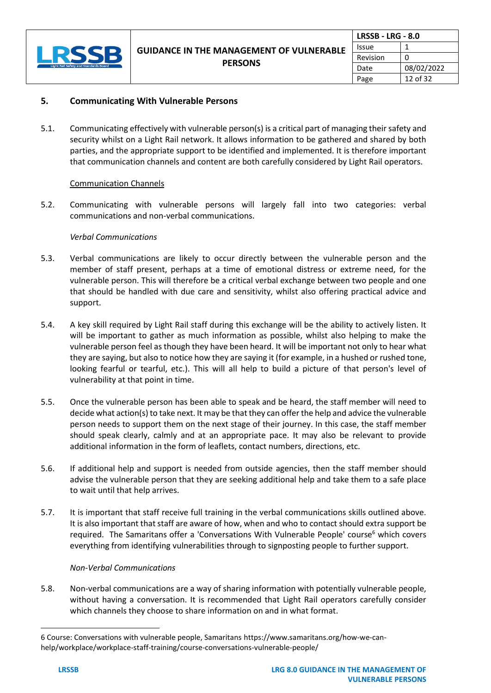

| <b>LRSSB - LRG - 8.0</b> |            |  |
|--------------------------|------------|--|
| <b>Issue</b>             |            |  |
| Revision                 | O          |  |
| Date                     | 08/02/2022 |  |
| Page                     | 12 of $32$ |  |

# **5. Communicating With Vulnerable Persons**

5.1. Communicating effectively with vulnerable person(s) is a critical part of managing their safety and security whilst on a Light Rail network. It allows information to be gathered and shared by both parties, and the appropriate support to be identified and implemented. It is therefore important that communication channels and content are both carefully considered by Light Rail operators.

### Communication Channels

5.2. Communicating with vulnerable persons will largely fall into two categories: verbal communications and non-verbal communications.

### *Verbal Communications*

- 5.3. Verbal communications are likely to occur directly between the vulnerable person and the member of staff present, perhaps at a time of emotional distress or extreme need, for the vulnerable person. This will therefore be a critical verbal exchange between two people and one that should be handled with due care and sensitivity, whilst also offering practical advice and support.
- 5.4. A key skill required by Light Rail staff during this exchange will be the ability to actively listen. It will be important to gather as much information as possible, whilst also helping to make the vulnerable person feel as though they have been heard. It will be important not only to hear what they are saying, but also to notice how they are saying it (for example, in a hushed or rushed tone, looking fearful or tearful, etc.). This will all help to build a picture of that person's level of vulnerability at that point in time.
- 5.5. Once the vulnerable person has been able to speak and be heard, the staff member will need to decide what action(s) to take next. It may be that they can offer the help and advice the vulnerable person needs to support them on the next stage of their journey. In this case, the staff member should speak clearly, calmly and at an appropriate pace. It may also be relevant to provide additional information in the form of leaflets, contact numbers, directions, etc.
- 5.6. If additional help and support is needed from outside agencies, then the staff member should advise the vulnerable person that they are seeking additional help and take them to a safe place to wait until that help arrives.
- 5.7. It is important that staff receive full training in the verbal communications skills outlined above. It is also important that staff are aware of how, when and who to contact should extra support be required. The Samaritans offer a 'Conversations With Vulnerable People' course<sup>6</sup> which covers everything from identifying vulnerabilities through to signposting people to further support.

#### *Non-Verbal Communications*

5.8. Non-verbal communications are a way of sharing information with potentially vulnerable people, without having a conversation. It is recommended that Light Rail operators carefully consider which channels they choose to share information on and in what format.

<sup>6</sup> Course: Conversations with vulnerable people, Samaritans [https://www.samaritans.org/how-we-can](https://www.samaritans.org/how-we-can-help/workplace/workplace-staff-training/course-conversations-vulnerable-people/)[help/workplace/workplace-staff-training/course-conversations-vulnerable-people/](https://www.samaritans.org/how-we-can-help/workplace/workplace-staff-training/course-conversations-vulnerable-people/)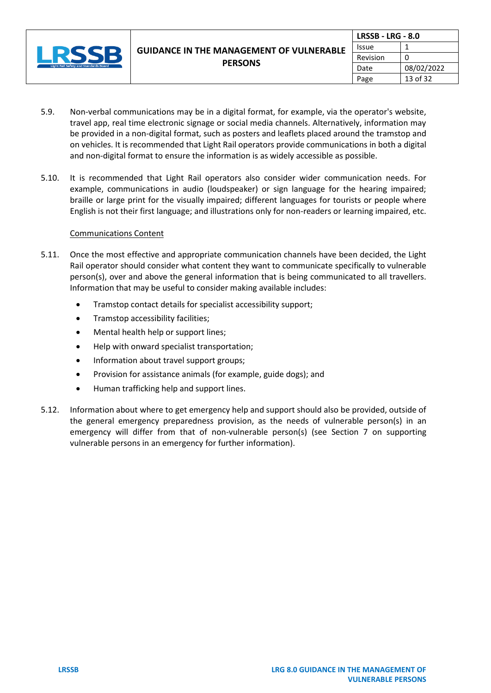

- 5.9. Non-verbal communications may be in a digital format, for example, via the operator's website, travel app, real time electronic signage or social media channels. Alternatively, information may be provided in a non-digital format, such as posters and leaflets placed around the tramstop and on vehicles. It is recommended that Light Rail operators provide communications in both a digital and non-digital format to ensure the information is as widely accessible as possible.
- 5.10. It is recommended that Light Rail operators also consider wider communication needs. For example, communications in audio (loudspeaker) or sign language for the hearing impaired; braille or large print for the visually impaired; different languages for tourists or people where English is not their first language; and illustrations only for non-readers or learning impaired, etc.

#### Communications Content

- 5.11. Once the most effective and appropriate communication channels have been decided, the Light Rail operator should consider what content they want to communicate specifically to vulnerable person(s), over and above the general information that is being communicated to all travellers. Information that may be useful to consider making available includes:
	- Tramstop contact details for specialist accessibility support;
	- Tramstop accessibility facilities;
	- Mental health help or support lines;
	- Help with onward specialist transportation;
	- Information about travel support groups;
	- Provision for assistance animals (for example, guide dogs); and
	- Human trafficking help and support lines.
- 5.12. Information about where to get emergency help and support should also be provided, outside of the general emergency preparedness provision, as the needs of vulnerable person(s) in an emergency will differ from that of non-vulnerable person(s) (see Section 7 on supporting vulnerable persons in an emergency for further information).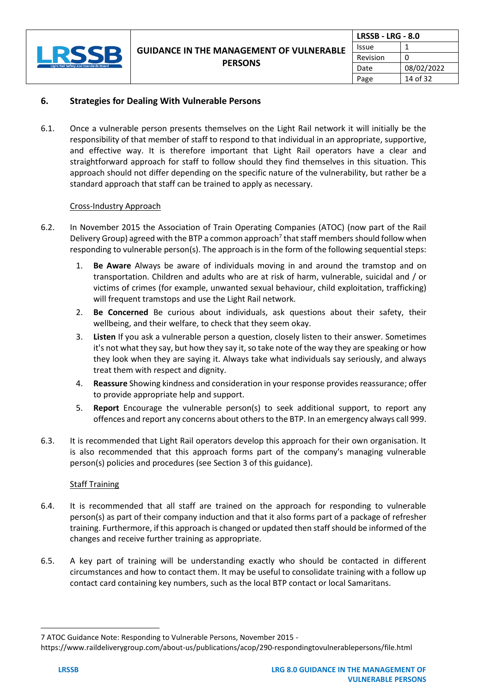

# **6. Strategies for Dealing With Vulnerable Persons**

6.1. Once a vulnerable person presents themselves on the Light Rail network it will initially be the responsibility of that member of staff to respond to that individual in an appropriate, supportive, and effective way. It is therefore important that Light Rail operators have a clear and straightforward approach for staff to follow should they find themselves in this situation. This approach should not differ depending on the specific nature of the vulnerability, but rather be a standard approach that staff can be trained to apply as necessary.

#### Cross-Industry Approach

- 6.2. In November 2015 the Association of Train Operating Companies (ATOC) (now part of the Rail Delivery Group) agreed with the BTP a common approach<sup>7</sup> that staff members should follow when responding to vulnerable person(s). The approach is in the form of the following sequential steps:
	- 1. **Be Aware** Always be aware of individuals moving in and around the tramstop and on transportation. Children and adults who are at risk of harm, vulnerable, suicidal and / or victims of crimes (for example, unwanted sexual behaviour, child exploitation, trafficking) will frequent tramstops and use the Light Rail network.
	- 2. **Be Concerned** Be curious about individuals, ask questions about their safety, their wellbeing, and their welfare, to check that they seem okay.
	- 3. **Listen** If you ask a vulnerable person a question, closely listen to their answer. Sometimes it's not what they say, but how they say it, so take note of the way they are speaking or how they look when they are saying it. Always take what individuals say seriously, and always treat them with respect and dignity.
	- 4. **Reassure** Showing kindness and consideration in your response provides reassurance; offer to provide appropriate help and support.
	- 5. **Report** Encourage the vulnerable person(s) to seek additional support, to report any offences and report any concerns about others to the BTP. In an emergency always call 999.
- 6.3. It is recommended that Light Rail operators develop this approach for their own organisation. It is also recommended that this approach forms part of the company's managing vulnerable person(s) policies and procedures (see Section 3 of this guidance).

#### Staff Training

- 6.4. It is recommended that all staff are trained on the approach for responding to vulnerable person(s) as part of their company induction and that it also forms part of a package of refresher training. Furthermore, if this approach is changed or updated then staff should be informed of the changes and receive further training as appropriate.
- 6.5. A key part of training will be understanding exactly who should be contacted in different circumstances and how to contact them. It may be useful to consolidate training with a follow up contact card containing key numbers, such as the local BTP contact or local Samaritans.

<sup>7</sup> ATOC Guidance Note: Responding to Vulnerable Persons, November 2015 -

<https://www.raildeliverygroup.com/about-us/publications/acop/290-respondingtovulnerablepersons/file.html>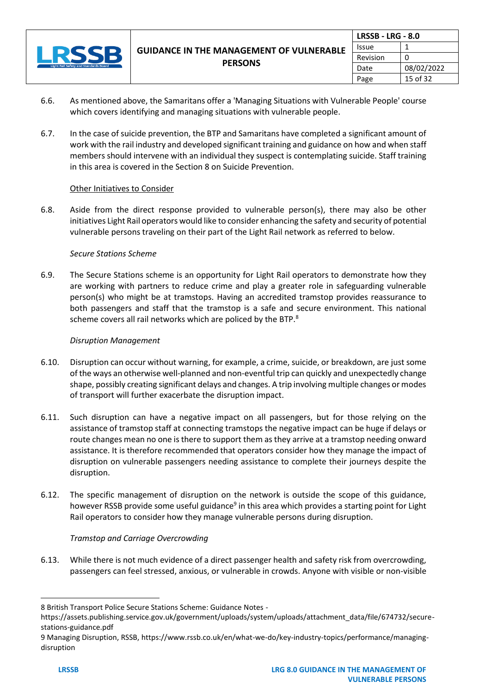

- 6.6. As mentioned above, the Samaritans offer a 'Managing Situations with Vulnerable People' course which covers identifying and managing situations with vulnerable people.
- 6.7. In the case of suicide prevention, the BTP and Samaritans have completed a significant amount of work with the rail industry and developed significant training and guidance on how and when staff members should intervene with an individual they suspect is contemplating suicide. Staff training in this area is covered in the Section 8 on Suicide Prevention.

#### Other Initiatives to Consider

6.8. Aside from the direct response provided to vulnerable person(s), there may also be other initiatives Light Rail operators would like to consider enhancing the safety and security of potential vulnerable persons traveling on their part of the Light Rail network as referred to below.

### *Secure Stations Scheme*

6.9. The Secure Stations scheme is an opportunity for Light Rail operators to demonstrate how they are working with partners to reduce crime and play a greater role in safeguarding vulnerable person(s) who might be at tramstops. Having an accredited tramstop provides reassurance to both passengers and staff that the tramstop is a safe and secure environment. This national scheme covers all rail networks which are policed by the BTP.<sup>8</sup>

### *Disruption Management*

- 6.10. Disruption can occur without warning, for example, a crime, suicide, or breakdown, are just some of the ways an otherwise well-planned and non-eventful trip can quickly and unexpectedly change shape, possibly creating significant delays and changes. A trip involving multiple changes or modes of transport will further exacerbate the disruption impact.
- 6.11. Such disruption can have a negative impact on all passengers, but for those relying on the assistance of tramstop staff at connecting tramstops the negative impact can be huge if delays or route changes mean no one is there to support them as they arrive at a tramstop needing onward assistance. It is therefore recommended that operators consider how they manage the impact of disruption on vulnerable passengers needing assistance to complete their journeys despite the disruption.
- 6.12. The specific management of disruption on the network is outside the scope of this guidance, however RSSB provide some useful guidance<sup>9</sup> in this area which provides a starting point for Light Rail operators to consider how they manage vulnerable persons during disruption.

# *Tramstop and Carriage Overcrowding*

6.13. While there is not much evidence of a direct passenger health and safety risk from overcrowding, passengers can feel stressed, anxious, or vulnerable in crowds. Anyone with visible or non-visible

<sup>8</sup> British Transport Police Secure Stations Scheme: Guidance Notes -

[https://assets.publishing.service.gov.uk/government/uploads/system/uploads/attachment\\_data/file/674732/secure](https://assets.publishing.service.gov.uk/government/uploads/system/uploads/attachment_data/file/674732/secure-stations-guidance.pdf)[stations-guidance.pdf](https://assets.publishing.service.gov.uk/government/uploads/system/uploads/attachment_data/file/674732/secure-stations-guidance.pdf)

<sup>9</sup> Managing Disruption, RSSB[, https://www.rssb.co.uk/en/what-we-do/key-industry-topics/performance/managing](https://www.rssb.co.uk/en/what-we-do/key-industry-topics/performance/managing-disruption)[disruption](https://www.rssb.co.uk/en/what-we-do/key-industry-topics/performance/managing-disruption)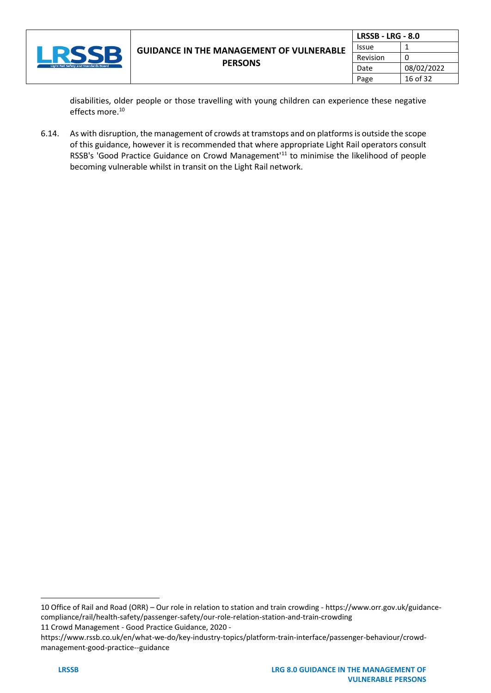

| <b>LRSSB - LRG - 8.0</b> |            |
|--------------------------|------------|
| Issue                    |            |
| Revision                 | n          |
| Date                     | 08/02/2022 |
| Page                     | 16 of 32   |

disabilities, older people or those travelling with young children can experience these negative effects more. 10

6.14. As with disruption, the management of crowds at tramstops and on platforms is outside the scope of this guidance, however it is recommended that where appropriate Light Rail operators consult RSSB's 'Good Practice Guidance on Crowd Management<sup>111</sup> to minimise the likelihood of people becoming vulnerable whilst in transit on the Light Rail network.

11 Crowd Management - Good Practice Guidance, 2020 [https://www.rssb.co.uk/en/what-we-do/key-industry-topics/platform-train-interface/passenger-behaviour/crowd-](https://www.rssb.co.uk/en/what-we-do/key-industry-topics/platform-train-interface/passenger-behaviour/crowd-management-good-practice--guidance)

<sup>10</sup> Office of Rail and Road (ORR) – Our role in relation to station and train crowding - [https://www.orr.gov.uk/guidance](https://www.orr.gov.uk/guidance-compliance/rail/health-safety/passenger-safety/our-role-relation-station-and-train-crowding)[compliance/rail/health-safety/passenger-safety/our-role-relation-station-and-train-crowding](https://www.orr.gov.uk/guidance-compliance/rail/health-safety/passenger-safety/our-role-relation-station-and-train-crowding)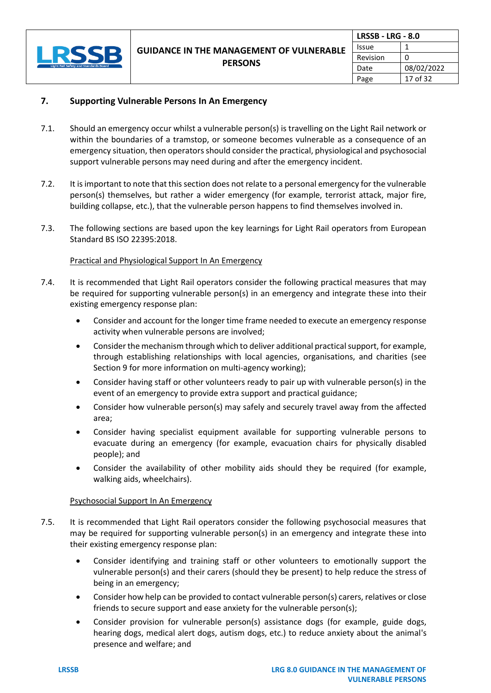

# **7. Supporting Vulnerable Persons In An Emergency**

- 7.1. Should an emergency occur whilst a vulnerable person(s) is travelling on the Light Rail network or within the boundaries of a tramstop, or someone becomes vulnerable as a consequence of an emergency situation, then operators should consider the practical, physiological and psychosocial support vulnerable persons may need during and after the emergency incident.
- 7.2. It is important to note that this section does not relate to a personal emergency for the vulnerable person(s) themselves, but rather a wider emergency (for example, terrorist attack, major fire, building collapse, etc.), that the vulnerable person happens to find themselves involved in.
- 7.3. The following sections are based upon the key learnings for Light Rail operators from European Standard BS ISO 22395:2018.

### Practical and Physiological Support In An Emergency

- 7.4. It is recommended that Light Rail operators consider the following practical measures that may be required for supporting vulnerable person(s) in an emergency and integrate these into their existing emergency response plan:
	- Consider and account for the longer time frame needed to execute an emergency response activity when vulnerable persons are involved;
	- Consider the mechanism through which to deliver additional practical support, for example, through establishing relationships with local agencies, organisations, and charities (see Section 9 for more information on multi-agency working);
	- Consider having staff or other volunteers ready to pair up with vulnerable person(s) in the event of an emergency to provide extra support and practical guidance;
	- Consider how vulnerable person(s) may safely and securely travel away from the affected area;
	- Consider having specialist equipment available for supporting vulnerable persons to evacuate during an emergency (for example, evacuation chairs for physically disabled people); and
	- Consider the availability of other mobility aids should they be required (for example, walking aids, wheelchairs).

#### Psychosocial Support In An Emergency

- 7.5. It is recommended that Light Rail operators consider the following psychosocial measures that may be required for supporting vulnerable person(s) in an emergency and integrate these into their existing emergency response plan:
	- Consider identifying and training staff or other volunteers to emotionally support the vulnerable person(s) and their carers (should they be present) to help reduce the stress of being in an emergency;
	- Consider how help can be provided to contact vulnerable person(s) carers, relatives or close friends to secure support and ease anxiety for the vulnerable person(s);
	- Consider provision for vulnerable person(s) assistance dogs (for example, guide dogs, hearing dogs, medical alert dogs, autism dogs, etc.) to reduce anxiety about the animal's presence and welfare; and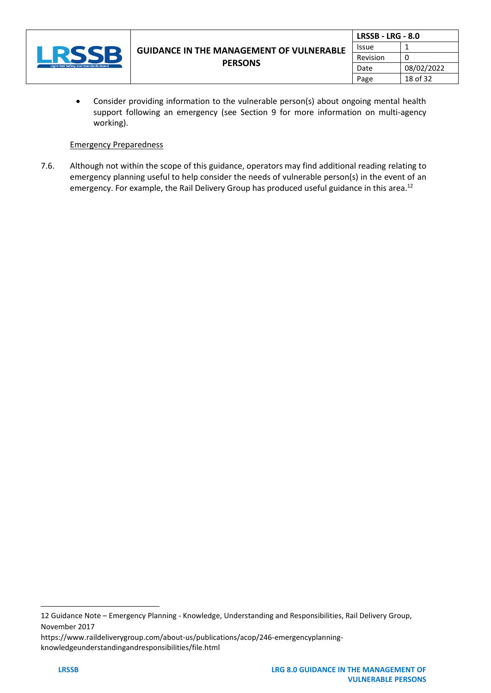

| <b>LRSSB - LRG - 8.0</b> |            |
|--------------------------|------------|
| Issue                    |            |
| Revision                 | ŋ          |
| Date                     | 08/02/2022 |
| Page                     | 18 of 32   |

• Consider providing information to the vulnerable person(s) about ongoing mental health support following an emergency (see Section 9 for more information on multi-agency working).

### Emergency Preparedness

7.6. Although not within the scope of this guidance, operators may find additional reading relating to emergency planning useful to help consider the needs of vulnerable person(s) in the event of an emergency. For example, the Rail Delivery Group has produced useful guidance in this area.<sup>12</sup>

<sup>12</sup> Guidance Note – Emergency Planning - Knowledge, Understanding and Responsibilities, Rail Delivery Group, November 2017

[https://www.raildeliverygroup.com/about-us/publications/acop/246-emergencyplanning](https://www.raildeliverygroup.com/about-us/publications/acop/246-emergencyplanning-knowledgeunderstandingandresponsibilities/file.html)[knowledgeunderstandingandresponsibilities/file.html](https://www.raildeliverygroup.com/about-us/publications/acop/246-emergencyplanning-knowledgeunderstandingandresponsibilities/file.html)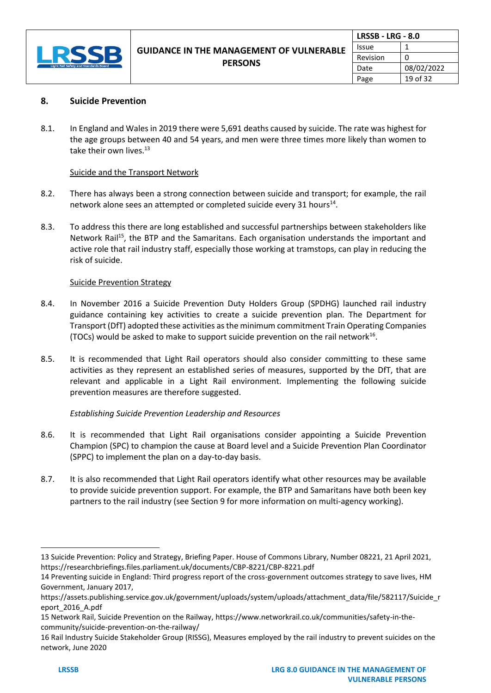

| <b>LRSSB - LRG - 8.0</b> |            |
|--------------------------|------------|
| <b>Issue</b>             |            |
| Revision                 | 0          |
| Date                     | 08/02/2022 |
| Page                     | 19 of 32   |

# **8. Suicide Prevention**

8.1. In England and Wales in 2019 there were 5,691 deaths caused by suicide. The rate was highest for the age groups between 40 and 54 years, and men were three times more likely than women to take their own lives.<sup>13</sup>

# Suicide and the Transport Network

- 8.2. There has always been a strong connection between suicide and transport; for example, the rail network alone sees an attempted or completed suicide every 31 hours<sup>14</sup>.
- 8.3. To address this there are long established and successful partnerships between stakeholders like Network Rail<sup>15</sup>, the BTP and the Samaritans. Each organisation understands the important and active role that rail industry staff, especially those working at tramstops, can play in reducing the risk of suicide.

### Suicide Prevention Strategy

- 8.4. In November 2016 a Suicide Prevention Duty Holders Group (SPDHG) launched rail industry guidance containing key activities to create a suicide prevention plan. The Department for Transport (DfT) adopted these activities as the minimum commitment Train Operating Companies (TOCs) would be asked to make to support suicide prevention on the rail network<sup>16</sup>.
- 8.5. It is recommended that Light Rail operators should also consider committing to these same activities as they represent an established series of measures, supported by the DfT, that are relevant and applicable in a Light Rail environment. Implementing the following suicide prevention measures are therefore suggested.

# *Establishing Suicide Prevention Leadership and Resources*

- 8.6. It is recommended that Light Rail organisations consider appointing a Suicide Prevention Champion (SPC) to champion the cause at Board level and a Suicide Prevention Plan Coordinator (SPPC) to implement the plan on a day-to-day basis.
- 8.7. It is also recommended that Light Rail operators identify what other resources may be available to provide suicide prevention support. For example, the BTP and Samaritans have both been key partners to the rail industry (see Section 9 for more information on multi-agency working).

<sup>13</sup> Suicide Prevention: Policy and Strategy, Briefing Paper. House of Commons Library, Number 08221, 21 April 2021, <https://researchbriefings.files.parliament.uk/documents/CBP-8221/CBP-8221.pdf>

<sup>14</sup> Preventing suicide in England: Third progress report of the cross-government outcomes strategy to save lives, HM Government, January 2017,

[https://assets.publishing.service.gov.uk/government/uploads/system/uploads/attachment\\_data/file/582117/Suicide\\_r](https://assets.publishing.service.gov.uk/government/uploads/system/uploads/attachment_data/file/582117/Suicide_report_2016_A.pdf) [eport\\_2016\\_A.pdf](https://assets.publishing.service.gov.uk/government/uploads/system/uploads/attachment_data/file/582117/Suicide_report_2016_A.pdf)

<sup>15</sup> Network Rail, Suicide Prevention on the Railway[, https://www.networkrail.co.uk/communities/safety-in-the](https://www.networkrail.co.uk/communities/safety-in-the-community/suicide-prevention-on-the-railway/)[community/suicide-prevention-on-the-railway/](https://www.networkrail.co.uk/communities/safety-in-the-community/suicide-prevention-on-the-railway/)

<sup>16</sup> Rail Industry Suicide Stakeholder Group (RISSG), Measures employed by the rail industry to prevent suicides on the network, June 2020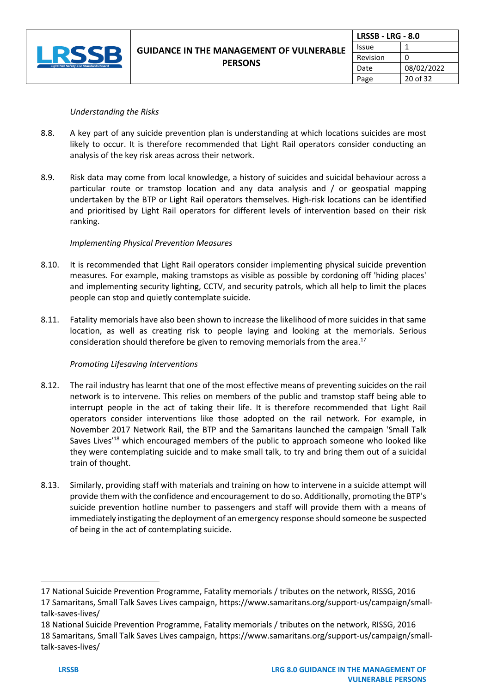

| <b>LRSSB - LRG - 8.0</b> |            |
|--------------------------|------------|
| Issue                    |            |
| Revision                 | n          |
| Date                     | 08/02/2022 |
| Page                     | 20 of 32   |

#### *Understanding the Risks*

- 8.8. A key part of any suicide prevention plan is understanding at which locations suicides are most likely to occur. It is therefore recommended that Light Rail operators consider conducting an analysis of the key risk areas across their network.
- 8.9. Risk data may come from local knowledge, a history of suicides and suicidal behaviour across a particular route or tramstop location and any data analysis and / or geospatial mapping undertaken by the BTP or Light Rail operators themselves. High-risk locations can be identified and prioritised by Light Rail operators for different levels of intervention based on their risk ranking.

### *Implementing Physical Prevention Measures*

- 8.10. It is recommended that Light Rail operators consider implementing physical suicide prevention measures. For example, making tramstops as visible as possible by cordoning off 'hiding places' and implementing security lighting, CCTV, and security patrols, which all help to limit the places people can stop and quietly contemplate suicide.
- 8.11. Fatality memorials have also been shown to increase the likelihood of more suicides in that same location, as well as creating risk to people laying and looking at the memorials. Serious consideration should therefore be given to removing memorials from the area.<sup>17</sup>

#### *Promoting Lifesaving Interventions*

- 8.12. The rail industry has learnt that one of the most effective means of preventing suicides on the rail network is to intervene. This relies on members of the public and tramstop staff being able to interrupt people in the act of taking their life. It is therefore recommended that Light Rail operators consider interventions like those adopted on the rail network. For example, in November 2017 Network Rail, the BTP and the Samaritans launched the campaign 'Small Talk Saves Lives<sup>'18</sup> which encouraged members of the public to approach someone who looked like they were contemplating suicide and to make small talk, to try and bring them out of a suicidal train of thought.
- 8.13. Similarly, providing staff with materials and training on how to intervene in a suicide attempt will provide them with the confidence and encouragement to do so. Additionally, promoting the BTP's suicide prevention hotline number to passengers and staff will provide them with a means of immediately instigating the deployment of an emergency response should someone be suspected of being in the act of contemplating suicide.

<sup>17</sup> National Suicide Prevention Programme, Fatality memorials / tributes on the network, RISSG, 2016

<sup>17</sup> Samaritans, Small Talk Saves Lives campaign, [https://www.samaritans.org/support-us/campaign/small](https://www.samaritans.org/support-us/campaign/small-talk-saves-lives/)[talk-saves-lives/](https://www.samaritans.org/support-us/campaign/small-talk-saves-lives/)

<sup>18</sup> National Suicide Prevention Programme, Fatality memorials / tributes on the network, RISSG, 2016 18 Samaritans, Small Talk Saves Lives campaign, [https://www.samaritans.org/support-us/campaign/small](https://www.samaritans.org/support-us/campaign/small-talk-saves-lives/)[talk-saves-lives/](https://www.samaritans.org/support-us/campaign/small-talk-saves-lives/)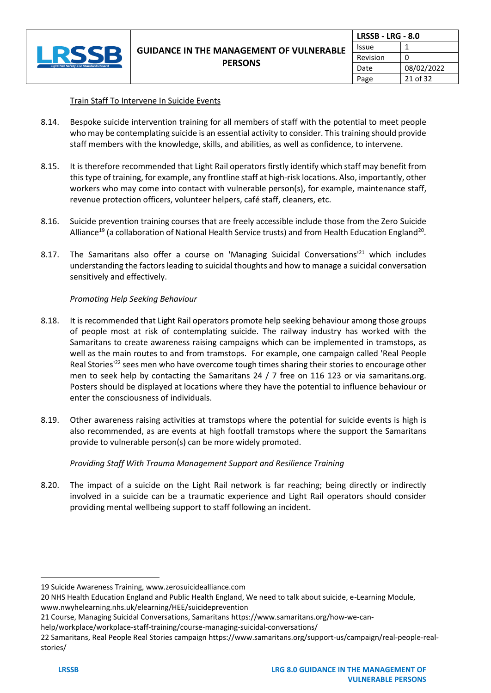

#### Train Staff To Intervene In Suicide Events

- 8.14. Bespoke suicide intervention training for all members of staff with the potential to meet people who may be contemplating suicide is an essential activity to consider. This training should provide staff members with the knowledge, skills, and abilities, as well as confidence, to intervene.
- 8.15. It is therefore recommended that Light Rail operators firstly identify which staff may benefit from this type of training, for example, any frontline staff at high-risk locations. Also, importantly, other workers who may come into contact with vulnerable person(s), for example, maintenance staff, revenue protection officers, volunteer helpers, café staff, cleaners, etc.
- 8.16. Suicide prevention training courses that are freely accessible include those from the Zero Suicide Alliance<sup>19</sup> (a collaboration of National Health Service trusts) and from Health Education England<sup>20</sup>.
- 8.17. The Samaritans also offer a course on 'Managing Suicidal Conversations<sup>121</sup> which includes understanding the factors leading to suicidal thoughts and how to manage a suicidal conversation sensitively and effectively.

#### *Promoting Help Seeking Behaviour*

- 8.18. It is recommended that Light Rail operators promote help seeking behaviour among those groups of people most at risk of contemplating suicide. The railway industry has worked with the Samaritans to create awareness raising campaigns which can be implemented in tramstops, as well as the main routes to and from tramstops. For example, one campaign called 'Real People Real Stories<sup>122</sup> sees men who have overcome tough times sharing their stories to encourage other men to seek help by contacting the Samaritans 24 / 7 free on 116 123 or via samaritans.org. Posters should be displayed at locations where they have the potential to influence behaviour or enter the consciousness of individuals.
- 8.19. Other awareness raising activities at tramstops where the potential for suicide events is high is also recommended, as are events at high footfall tramstops where the support the Samaritans provide to vulnerable person(s) can be more widely promoted.

#### *Providing Staff With Trauma Management Support and Resilience Training*

8.20. The impact of a suicide on the Light Rail network is far reaching; being directly or indirectly involved in a suicide can be a traumatic experience and Light Rail operators should consider providing mental wellbeing support to staff following an incident.

<sup>19</sup> Suicide Awareness Training, [www.zerosuicidealliance.com](http://www.zerosuicidealliance.com/)

<sup>20</sup> NHS Health Education England and Public Health England, We need to talk about suicide, e-Learning Module, [www.nwyhelearning.nhs.uk/elearning/HEE/suicideprevention](http://www.nwyhelearning.nhs.uk/elearning/HEE/suicideprevention)

<sup>21</sup> Course, Managing Suicidal Conversations, Samaritan[s https://www.samaritans.org/how-we-can-](https://www.samaritans.org/how-we-can-help/workplace/workplace-staff-training/course-managing-suicidal-conversations/)

[help/workplace/workplace-staff-training/course-managing-suicidal-conversations/](https://www.samaritans.org/how-we-can-help/workplace/workplace-staff-training/course-managing-suicidal-conversations/)

<sup>22</sup> Samaritans, Real People Real Stories campaign [https://www.samaritans.org/support-us/campaign/real-people-real](https://www.samaritans.org/support-us/campaign/real-people-real-stories/)[stories/](https://www.samaritans.org/support-us/campaign/real-people-real-stories/)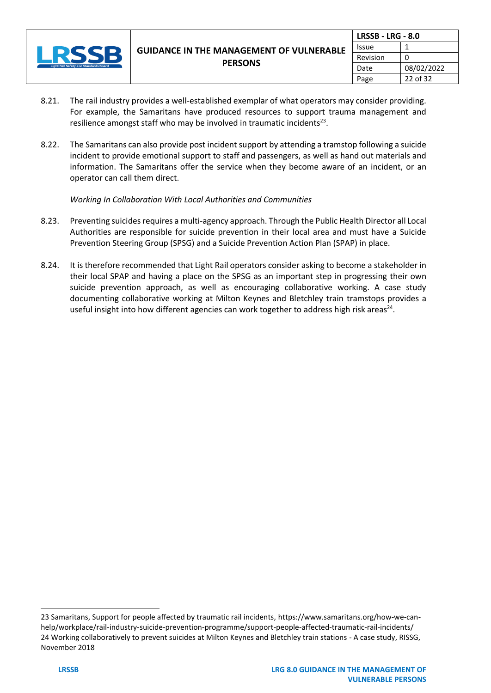

- 8.21. The rail industry provides a well-established exemplar of what operators may consider providing. For example, the Samaritans have produced resources to support trauma management and resilience amongst staff who may be involved in traumatic incidents<sup>23</sup>.
- 8.22. The Samaritans can also provide post incident support by attending a tramstop following a suicide incident to provide emotional support to staff and passengers, as well as hand out materials and information. The Samaritans offer the service when they become aware of an incident, or an operator can call them direct.

### *Working In Collaboration With Local Authorities and Communities*

- 8.23. Preventing suicides requires a multi-agency approach. Through the Public Health Director all Local Authorities are responsible for suicide prevention in their local area and must have a Suicide Prevention Steering Group (SPSG) and a Suicide Prevention Action Plan (SPAP) in place.
- 8.24. It is therefore recommended that Light Rail operators consider asking to become a stakeholder in their local SPAP and having a place on the SPSG as an important step in progressing their own suicide prevention approach, as well as encouraging collaborative working. A case study documenting collaborative working at Milton Keynes and Bletchley train tramstops provides a useful insight into how different agencies can work together to address high risk areas<sup>24</sup>.

<sup>23</sup> Samaritans, Support for people affected by traumatic rail incidents, [https://www.samaritans.org/how-we-can](https://www.samaritans.org/how-we-can-help/workplace/rail-industry-suicide-prevention-programme/support-people-affected-traumatic-rail-incidents/)[help/workplace/rail-industry-suicide-prevention-programme/support-people-affected-traumatic-rail-incidents/](https://www.samaritans.org/how-we-can-help/workplace/rail-industry-suicide-prevention-programme/support-people-affected-traumatic-rail-incidents/) 24 Working collaboratively to prevent suicides at Milton Keynes and Bletchley train stations - A case study, RISSG, November 2018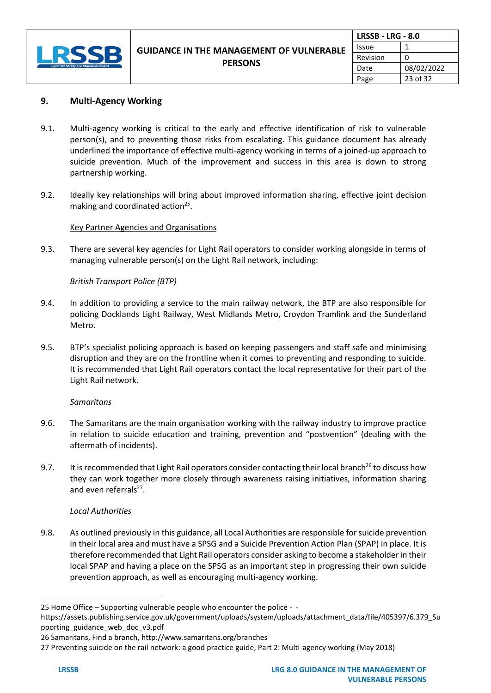

| <b>LRSSB - LRG - 8.0</b> |            |
|--------------------------|------------|
| Issue                    |            |
| Revision                 | n          |
| Date                     | 08/02/2022 |
| Page                     | 23 of 32   |

# **9. Multi-Agency Working**

- 9.1. Multi-agency working is critical to the early and effective identification of risk to vulnerable person(s), and to preventing those risks from escalating. This guidance document has already underlined the importance of effective multi-agency working in terms of a joined-up approach to suicide prevention. Much of the improvement and success in this area is down to strong partnership working.
- 9.2. Ideally key relationships will bring about improved information sharing, effective joint decision making and coordinated action<sup>25</sup>.

### Key Partner Agencies and Organisations

9.3. There are several key agencies for Light Rail operators to consider working alongside in terms of managing vulnerable person(s) on the Light Rail network, including:

*British Transport Police (BTP)*

- 9.4. In addition to providing a service to the main railway network, the BTP are also responsible for policing Docklands Light Railway, West Midlands Metro, Croydon Tramlink and the Sunderland Metro.
- 9.5. BTP's specialist policing approach is based on keeping passengers and staff safe and minimising disruption and they are on the frontline when it comes to preventing and responding to suicide. It is recommended that Light Rail operators contact the local representative for their part of the Light Rail network.

#### *Samaritans*

- 9.6. The Samaritans are the main organisation working with the railway industry to improve practice in relation to suicide education and training, prevention and "postvention" (dealing with the aftermath of incidents).
- 9.7. It is recommended that Light Rail operators consider contacting their local branch<sup>26</sup> to discuss how they can work together more closely through awareness raising initiatives, information sharing and even referrals<sup>27</sup>.

#### *Local Authorities*

9.8. As outlined previously in this guidance, all Local Authorities are responsible for suicide prevention in their local area and must have a SPSG and a Suicide Prevention Action Plan (SPAP) in place. It is therefore recommended that Light Rail operators consider asking to become a stakeholder in their local SPAP and having a place on the SPSG as an important step in progressing their own suicide prevention approach, as well as encouraging multi-agency working.

<sup>25</sup> Home Office – Supporting vulnerable people who encounter the police - -

[https://assets.publishing.service.gov.uk/government/uploads/system/uploads/attachment\\_data/file/405397/6.379\\_Su](https://assets.publishing.service.gov.uk/government/uploads/system/uploads/attachment_data/file/405397/6.379_Supporting_guidance_web_doc_v3.pdf) [pporting\\_guidance\\_web\\_doc\\_v3.pdf](https://assets.publishing.service.gov.uk/government/uploads/system/uploads/attachment_data/file/405397/6.379_Supporting_guidance_web_doc_v3.pdf)

<sup>26</sup> Samaritans, Find a branch, <http://www.samaritans.org/branches>

<sup>27</sup> Preventing suicide on the rail network: a good practice guide, Part 2: Multi-agency working (May 2018)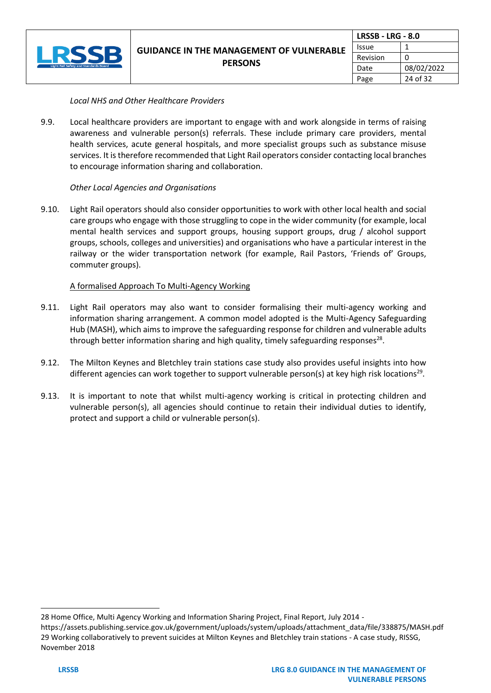

| <b>LRSSB - LRG - 8.0</b> |            |
|--------------------------|------------|
| Issue                    |            |
| Revision                 | n          |
| Date                     | 08/02/2022 |
| Page                     | 24 of 32   |

#### *Local NHS and Other Healthcare Providers*

9.9. Local healthcare providers are important to engage with and work alongside in terms of raising awareness and vulnerable person(s) referrals. These include primary care providers, mental health services, acute general hospitals, and more specialist groups such as substance misuse services. It is therefore recommended that Light Rail operators consider contacting local branches to encourage information sharing and collaboration.

#### *Other Local Agencies and Organisations*

9.10. Light Rail operators should also consider opportunities to work with other local health and social care groups who engage with those struggling to cope in the wider community (for example, local mental health services and support groups, housing support groups, drug / alcohol support groups, schools, colleges and universities) and organisations who have a particular interest in the railway or the wider transportation network (for example, Rail Pastors, 'Friends of' Groups, commuter groups).

#### A formalised Approach To Multi-Agency Working

- 9.11. Light Rail operators may also want to consider formalising their multi-agency working and information sharing arrangement. A common model adopted is the Multi-Agency Safeguarding Hub (MASH), which aims to improve the safeguarding response for children and vulnerable adults through better information sharing and high quality, timely safeguarding responses<sup>28</sup>.
- 9.12. The Milton Keynes and Bletchley train stations case study also provides useful insights into how different agencies can work together to support vulnerable person(s) at key high risk locations<sup>29</sup>.
- 9.13. It is important to note that whilst multi-agency working is critical in protecting children and vulnerable person(s), all agencies should continue to retain their individual duties to identify, protect and support a child or vulnerable person(s).

<sup>28</sup> Home Office, Multi Agency Working and Information Sharing Project, Final Report, July 2014 -

[https://assets.publishing.service.gov.uk/government/uploads/system/uploads/attachment\\_data/file/338875/MASH.pdf](https://assets.publishing.service.gov.uk/government/uploads/system/uploads/attachment_data/file/338875/MASH.pdf) 29 Working collaboratively to prevent suicides at Milton Keynes and Bletchley train stations - A case study, RISSG, November 2018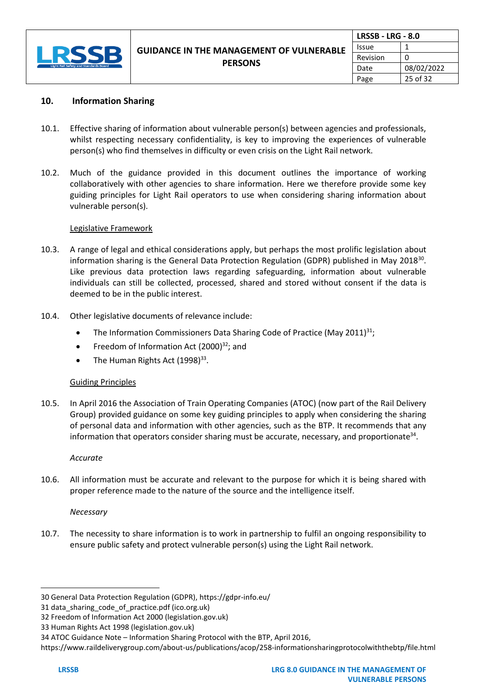

| <b>LRSSB - LRG - 8.0</b> |            |
|--------------------------|------------|
| Issue                    |            |
| Revision                 | ŋ          |
| Date                     | 08/02/2022 |
| Page                     | 25 of 32   |

# **10. Information Sharing**

- 10.1. Effective sharing of information about vulnerable person(s) between agencies and professionals, whilst respecting necessary confidentiality, is key to improving the experiences of vulnerable person(s) who find themselves in difficulty or even crisis on the Light Rail network.
- 10.2. Much of the guidance provided in this document outlines the importance of working collaboratively with other agencies to share information. Here we therefore provide some key guiding principles for Light Rail operators to use when considering sharing information about vulnerable person(s).

#### Legislative Framework

- 10.3. A range of legal and ethical considerations apply, but perhaps the most prolific legislation about information sharing is the General Data Protection Regulation (GDPR) published in May 2018<sup>30</sup>. Like previous data protection laws regarding safeguarding, information about vulnerable individuals can still be collected, processed, shared and stored without consent if the data is deemed to be in the public interest.
- 10.4. Other legislative documents of relevance include:
	- The Information Commissioners Data Sharing Code of Practice (May 2011)<sup>31</sup>;
	- Freedom of Information Act (2000)<sup>32</sup>; and
	- The Human Rights Act  $(1998)^{33}$ .

#### Guiding Principles

10.5. In April 2016 the Association of Train Operating Companies (ATOC) (now part of the Rail Delivery Group) provided guidance on some key guiding principles to apply when considering the sharing of personal data and information with other agencies, such as the BTP. It recommends that any information that operators consider sharing must be accurate, necessary, and proportionate<sup>34</sup>.

#### *Accurate*

10.6. All information must be accurate and relevant to the purpose for which it is being shared with proper reference made to the nature of the source and the intelligence itself.

#### *Necessary*

10.7. The necessity to share information is to work in partnership to fulfil an ongoing responsibility to ensure public safety and protect vulnerable person(s) using the Light Rail network.

<sup>30</sup> General Data Protection Regulation (GDPR),<https://gdpr-info.eu/>

<sup>31</sup> [data\\_sharing\\_code\\_of\\_practice.pdf \(ico.org.uk\)](https://ico.org.uk/media/for-organisations/documents/1068/data_sharing_code_of_practice.pdf)

<sup>32</sup> [Freedom of Information Act 2000](https://www.legislation.gov.uk/ukpga/2000/36/contents) (legislation.gov.uk)

<sup>33</sup> [Human Rights Act 1998 \(legislation.gov.uk\)](https://www.legislation.gov.uk/ukpga/1998/42/contents)

<sup>34</sup> ATOC Guidance Note – Information Sharing Protocol with the BTP, April 2016,

<https://www.raildeliverygroup.com/about-us/publications/acop/258-informationsharingprotocolwiththebtp/file.html>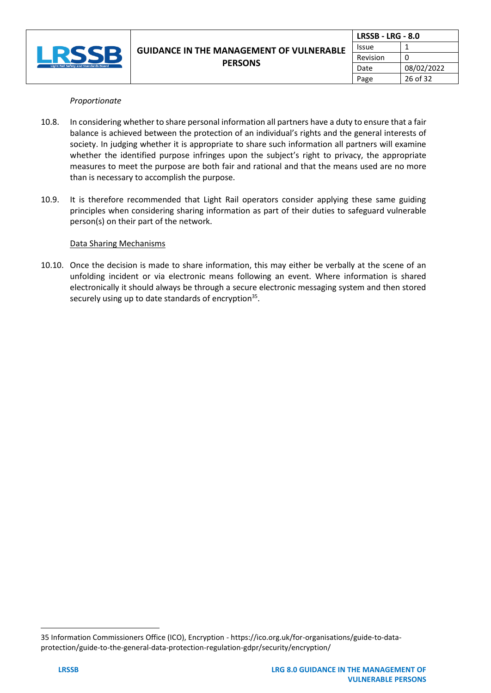

| <b>LRSSB - LRG - 8.0</b> |            |
|--------------------------|------------|
| Issue                    |            |
| Revision                 | 0          |
| Date                     | 08/02/2022 |
| Page                     | 26 of 32   |

#### *Proportionate*

- 10.8. In considering whether to share personal information all partners have a duty to ensure that a fair balance is achieved between the protection of an individual's rights and the general interests of society. In judging whether it is appropriate to share such information all partners will examine whether the identified purpose infringes upon the subject's right to privacy, the appropriate measures to meet the purpose are both fair and rational and that the means used are no more than is necessary to accomplish the purpose.
- 10.9. It is therefore recommended that Light Rail operators consider applying these same guiding principles when considering sharing information as part of their duties to safeguard vulnerable person(s) on their part of the network.

#### Data Sharing Mechanisms

10.10. Once the decision is made to share information, this may either be verbally at the scene of an unfolding incident or via electronic means following an event. Where information is shared electronically it should always be through a secure electronic messaging system and then stored securely using up to date standards of encryption<sup>35</sup>.

<sup>35</sup> Information Commissioners Office (ICO), Encryption - [https://ico.org.uk/for-organisations/guide-to-data](https://ico.org.uk/for-organisations/guide-to-data-protection/guide-to-the-general-data-protection-regulation-gdpr/security/encryption/)[protection/guide-to-the-general-data-protection-regulation-gdpr/security/encryption/](https://ico.org.uk/for-organisations/guide-to-data-protection/guide-to-the-general-data-protection-regulation-gdpr/security/encryption/)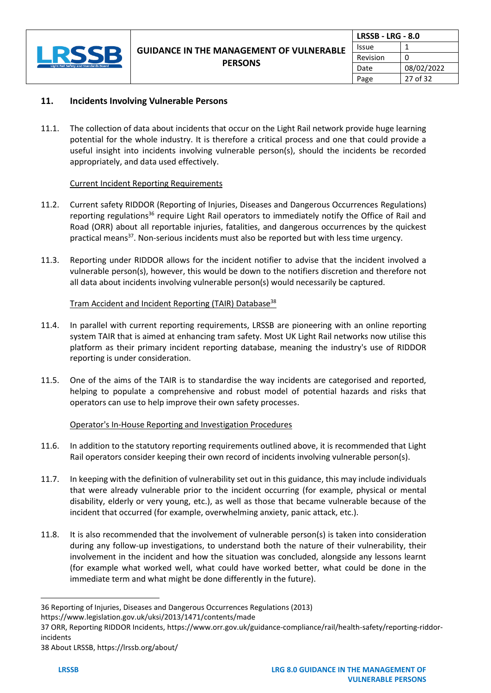

| <b>LRSSB - LRG - 8.0</b> |            |
|--------------------------|------------|
| Issue                    |            |
| Revision                 | n          |
| Date                     | 08/02/2022 |
| Page                     | 27 of 32   |

# **11. Incidents Involving Vulnerable Persons**

11.1. The collection of data about incidents that occur on the Light Rail network provide huge learning potential for the whole industry. It is therefore a critical process and one that could provide a useful insight into incidents involving vulnerable person(s), should the incidents be recorded appropriately, and data used effectively.

## Current Incident Reporting Requirements

- 11.2. Current safety RIDDOR (Reporting of Injuries, Diseases and Dangerous Occurrences Regulations) reporting regulations<sup>36</sup> require Light Rail operators to immediately notify the Office of Rail and Road (ORR) about all reportable injuries, fatalities, and dangerous occurrences by the quickest practical means<sup>37</sup>. Non-serious incidents must also be reported but with less time urgency.
- 11.3. Reporting under RIDDOR allows for the incident notifier to advise that the incident involved a vulnerable person(s), however, this would be down to the notifiers discretion and therefore not all data about incidents involving vulnerable person(s) would necessarily be captured.

### Tram Accident and Incident Reporting (TAIR) Database<sup>38</sup>

- 11.4. In parallel with current reporting requirements, LRSSB are pioneering with an online reporting system TAIR that is aimed at enhancing tram safety. Most UK Light Rail networks now utilise this platform as their primary incident reporting database, meaning the industry's use of RIDDOR reporting is under consideration.
- 11.5. One of the aims of the TAIR is to standardise the way incidents are categorised and reported, helping to populate a comprehensive and robust model of potential hazards and risks that operators can use to help improve their own safety processes.

# Operator's In-House Reporting and Investigation Procedures

- 11.6. In addition to the statutory reporting requirements outlined above, it is recommended that Light Rail operators consider keeping their own record of incidents involving vulnerable person(s).
- 11.7. In keeping with the definition of vulnerability set out in this guidance, this may include individuals that were already vulnerable prior to the incident occurring (for example, physical or mental disability, elderly or very young, etc.), as well as those that became vulnerable because of the incident that occurred (for example, overwhelming anxiety, panic attack, etc.).
- 11.8. It is also recommended that the involvement of vulnerable person(s) is taken into consideration during any follow-up investigations, to understand both the nature of their vulnerability, their involvement in the incident and how the situation was concluded, alongside any lessons learnt (for example what worked well, what could have worked better, what could be done in the immediate term and what might be done differently in the future).

<sup>36</sup> Reporting of Injuries, Diseases and Dangerous Occurrences Regulations (2013)

<https://www.legislation.gov.uk/uksi/2013/1471/contents/made>

<sup>37</sup> ORR, Reporting RIDDOR Incidents, [https://www.orr.gov.uk/guidance-compliance/rail/health-safety/reporting-riddor](https://www.orr.gov.uk/guidance-compliance/rail/health-safety/reporting-riddor-incidents)[incidents](https://www.orr.gov.uk/guidance-compliance/rail/health-safety/reporting-riddor-incidents)

<sup>38</sup> About LRSSB,<https://lrssb.org/about/>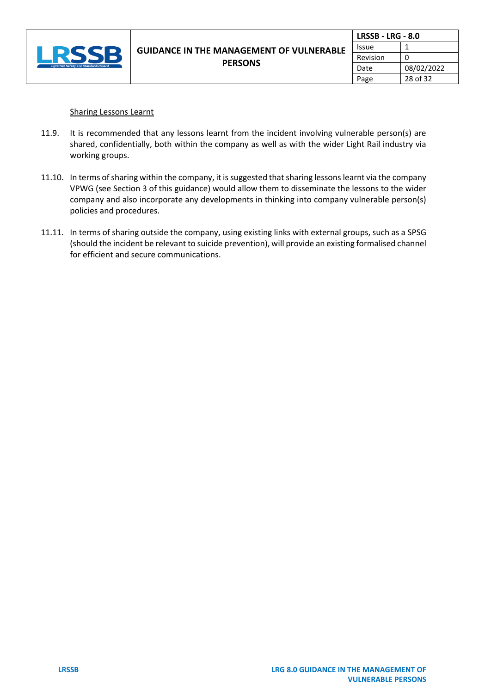

| <b>LRSSB - LRG - 8.0</b> |            |
|--------------------------|------------|
| Issue                    |            |
| Revision                 | n          |
| Date                     | 08/02/2022 |
| Page                     | 28 of 32   |

#### Sharing Lessons Learnt

- 11.9. It is recommended that any lessons learnt from the incident involving vulnerable person(s) are shared, confidentially, both within the company as well as with the wider Light Rail industry via working groups.
- 11.10. In terms of sharing within the company, it is suggested that sharing lessons learnt via the company VPWG (see Section 3 of this guidance) would allow them to disseminate the lessons to the wider company and also incorporate any developments in thinking into company vulnerable person(s) policies and procedures.
- 11.11. In terms of sharing outside the company, using existing links with external groups, such as a SPSG (should the incident be relevant to suicide prevention), will provide an existing formalised channel for efficient and secure communications.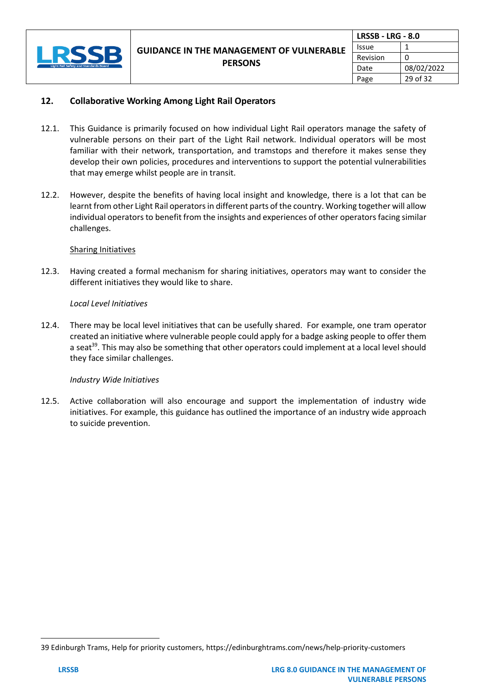

# **12. Collaborative Working Among Light Rail Operators**

- 12.1. This Guidance is primarily focused on how individual Light Rail operators manage the safety of vulnerable persons on their part of the Light Rail network. Individual operators will be most familiar with their network, transportation, and tramstops and therefore it makes sense they develop their own policies, procedures and interventions to support the potential vulnerabilities that may emerge whilst people are in transit.
- 12.2. However, despite the benefits of having local insight and knowledge, there is a lot that can be learnt from other Light Rail operators in different parts of the country. Working together will allow individual operators to benefit from the insights and experiences of other operators facing similar challenges.

#### Sharing Initiatives

12.3. Having created a formal mechanism for sharing initiatives, operators may want to consider the different initiatives they would like to share.

#### *Local Level Initiatives*

12.4. There may be local level initiatives that can be usefully shared. For example, one tram operator created an initiative where vulnerable people could apply for a badge asking people to offer them a seat<sup>39</sup>. This may also be something that other operators could implement at a local level should they face similar challenges.

#### *Industry Wide Initiatives*

12.5. Active collaboration will also encourage and support the implementation of industry wide initiatives. For example, this guidance has outlined the importance of an industry wide approach to suicide prevention.

<sup>39</sup> Edinburgh Trams, Help for priority customers,<https://edinburghtrams.com/news/help-priority-customers>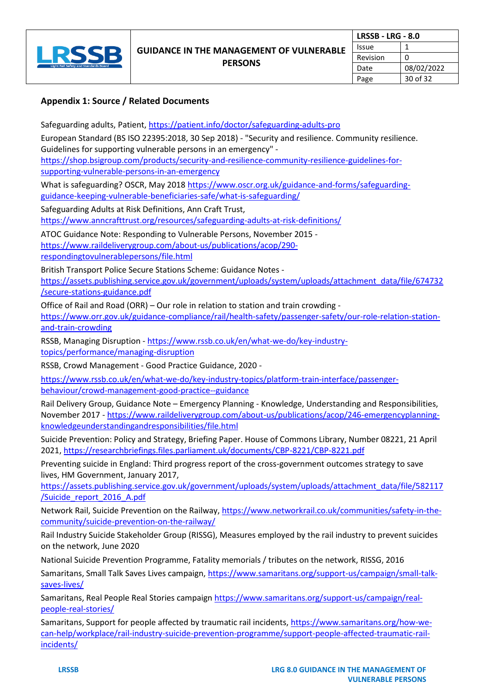

| <b>LRSSB - LRG - 8.0</b> |            |
|--------------------------|------------|
| Issue                    |            |
| Revision                 | 0          |
| Date                     | 08/02/2022 |
| Page                     | 30 of 32   |

# **Appendix 1: Source / Related Documents**

Safeguarding adults, Patient,<https://patient.info/doctor/safeguarding-adults-pro>

European Standard (BS ISO 22395:2018, 30 Sep 2018) - "Security and resilience. Community resilience. Guidelines for supporting vulnerable persons in an emergency" -

[https://shop.bsigroup.com/products/security-and-resilience-community-resilience-guidelines-for](https://shop.bsigroup.com/products/security-and-resilience-community-resilience-guidelines-for-supporting-vulnerable-persons-in-an-emergency)[supporting-vulnerable-persons-in-an-emergency](https://shop.bsigroup.com/products/security-and-resilience-community-resilience-guidelines-for-supporting-vulnerable-persons-in-an-emergency)

What is safeguarding? OSCR, May 201[8 https://www.oscr.org.uk/guidance-and-forms/safeguarding](https://www.oscr.org.uk/guidance-and-forms/safeguarding-guidance-keeping-vulnerable-beneficiaries-safe/what-is-safeguarding/)[guidance-keeping-vulnerable-beneficiaries-safe/what-is-safeguarding/](https://www.oscr.org.uk/guidance-and-forms/safeguarding-guidance-keeping-vulnerable-beneficiaries-safe/what-is-safeguarding/)

Safeguarding Adults at Risk Definitions, Ann Craft Trust,

<https://www.anncrafttrust.org/resources/safeguarding-adults-at-risk-definitions/>

ATOC Guidance Note: Responding to Vulnerable Persons, November 2015 [https://www.raildeliverygroup.com/about-us/publications/acop/290-](https://www.raildeliverygroup.com/about-us/publications/acop/290-respondingtovulnerablepersons/file.html)

[respondingtovulnerablepersons/file.html](https://www.raildeliverygroup.com/about-us/publications/acop/290-respondingtovulnerablepersons/file.html)

British Transport Police Secure Stations Scheme: Guidance Notes [https://assets.publishing.service.gov.uk/government/uploads/system/uploads/attachment\\_data/file/674732](https://assets.publishing.service.gov.uk/government/uploads/system/uploads/attachment_data/file/674732/secure-stations-guidance.pdf) [/secure-stations-guidance.pdf](https://assets.publishing.service.gov.uk/government/uploads/system/uploads/attachment_data/file/674732/secure-stations-guidance.pdf)

Office of Rail and Road (ORR) – Our role in relation to station and train crowding -

[https://www.orr.gov.uk/guidance-compliance/rail/health-safety/passenger-safety/our-role-relation-station](https://www.orr.gov.uk/guidance-compliance/rail/health-safety/passenger-safety/our-role-relation-station-and-train-crowding)[and-train-crowding](https://www.orr.gov.uk/guidance-compliance/rail/health-safety/passenger-safety/our-role-relation-station-and-train-crowding)

RSSB, Managing Disruption - [https://www.rssb.co.uk/en/what-we-do/key-industry](https://www.rssb.co.uk/en/what-we-do/key-industry-topics/performance/managing-disruption)[topics/performance/managing-disruption](https://www.rssb.co.uk/en/what-we-do/key-industry-topics/performance/managing-disruption)

RSSB, Crowd Management - Good Practice Guidance, 2020 -

[https://www.rssb.co.uk/en/what-we-do/key-industry-topics/platform-train-interface/passenger](https://www.rssb.co.uk/en/what-we-do/key-industry-topics/platform-train-interface/passenger-behaviour/crowd-management-good-practice--guidance)[behaviour/crowd-management-good-practice--guidance](https://www.rssb.co.uk/en/what-we-do/key-industry-topics/platform-train-interface/passenger-behaviour/crowd-management-good-practice--guidance)

Rail Delivery Group, Guidance Note – Emergency Planning - Knowledge, Understanding and Responsibilities, November 2017 - [https://www.raildeliverygroup.com/about-us/publications/acop/246-emergencyplanning](https://www.raildeliverygroup.com/about-us/publications/acop/246-emergencyplanning-knowledgeunderstandingandresponsibilities/file.html)[knowledgeunderstandingandresponsibilities/file.html](https://www.raildeliverygroup.com/about-us/publications/acop/246-emergencyplanning-knowledgeunderstandingandresponsibilities/file.html)

Suicide Prevention: Policy and Strategy, Briefing Paper. House of Commons Library, Number 08221, 21 April 2021,<https://researchbriefings.files.parliament.uk/documents/CBP-8221/CBP-8221.pdf>

Preventing suicide in England: Third progress report of the cross-government outcomes strategy to save lives, HM Government, January 2017,

[https://assets.publishing.service.gov.uk/government/uploads/system/uploads/attachment\\_data/file/582117](https://assets.publishing.service.gov.uk/government/uploads/system/uploads/attachment_data/file/582117/Suicide_report_2016_A.pdf) [/Suicide\\_report\\_2016\\_A.pdf](https://assets.publishing.service.gov.uk/government/uploads/system/uploads/attachment_data/file/582117/Suicide_report_2016_A.pdf)

Network Rail, Suicide Prevention on the Railway, [https://www.networkrail.co.uk/communities/safety-in-the](https://www.networkrail.co.uk/communities/safety-in-the-community/suicide-prevention-on-the-railway/)[community/suicide-prevention-on-the-railway/](https://www.networkrail.co.uk/communities/safety-in-the-community/suicide-prevention-on-the-railway/)

Rail Industry Suicide Stakeholder Group (RISSG), Measures employed by the rail industry to prevent suicides on the network, June 2020

National Suicide Prevention Programme, Fatality memorials / tributes on the network, RISSG, 2016

Samaritans, Small Talk Saves Lives campaign, [https://www.samaritans.org/support-us/campaign/small-talk](https://www.samaritans.org/support-us/campaign/small-talk-saves-lives/)[saves-lives/](https://www.samaritans.org/support-us/campaign/small-talk-saves-lives/)

Samaritans, Real People Real Stories campaign [https://www.samaritans.org/support-us/campaign/real](https://www.samaritans.org/support-us/campaign/real-people-real-stories/)[people-real-stories/](https://www.samaritans.org/support-us/campaign/real-people-real-stories/)

Samaritans, Support for people affected by traumatic rail incidents[, https://www.samaritans.org/how-we](https://www.samaritans.org/how-we-can-help/workplace/rail-industry-suicide-prevention-programme/support-people-affected-traumatic-rail-incidents/)[can-help/workplace/rail-industry-suicide-prevention-programme/support-people-affected-traumatic-rail](https://www.samaritans.org/how-we-can-help/workplace/rail-industry-suicide-prevention-programme/support-people-affected-traumatic-rail-incidents/)[incidents/](https://www.samaritans.org/how-we-can-help/workplace/rail-industry-suicide-prevention-programme/support-people-affected-traumatic-rail-incidents/)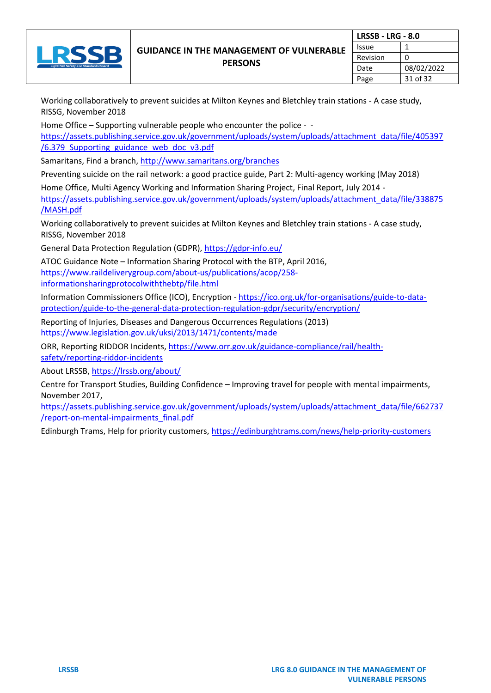

Working collaboratively to prevent suicides at Milton Keynes and Bletchley train stations - A case study, RISSG, November 2018

Home Office – Supporting vulnerable people who encounter the police - -

[https://assets.publishing.service.gov.uk/government/uploads/system/uploads/attachment\\_data/file/405397](https://assets.publishing.service.gov.uk/government/uploads/system/uploads/attachment_data/file/405397/6.379_Supporting_guidance_web_doc_v3.pdf) [/6.379\\_Supporting\\_guidance\\_web\\_doc\\_v3.pdf](https://assets.publishing.service.gov.uk/government/uploads/system/uploads/attachment_data/file/405397/6.379_Supporting_guidance_web_doc_v3.pdf)

Samaritans, Find a branch,<http://www.samaritans.org/branches>

Preventing suicide on the rail network: a good practice guide, Part 2: Multi-agency working (May 2018)

Home Office, Multi Agency Working and Information Sharing Project, Final Report, July 2014 [https://assets.publishing.service.gov.uk/government/uploads/system/uploads/attachment\\_data/file/338875](https://assets.publishing.service.gov.uk/government/uploads/system/uploads/attachment_data/file/338875/MASH.pdf) [/MASH.pdf](https://assets.publishing.service.gov.uk/government/uploads/system/uploads/attachment_data/file/338875/MASH.pdf)

Working collaboratively to prevent suicides at Milton Keynes and Bletchley train stations - A case study, RISSG, November 2018

General Data Protection Regulation (GDPR),<https://gdpr-info.eu/>

ATOC Guidance Note – Information Sharing Protocol with the BTP, April 2016,

[https://www.raildeliverygroup.com/about-us/publications/acop/258-](https://www.raildeliverygroup.com/about-us/publications/acop/258-informationsharingprotocolwiththebtp/file.html)

[informationsharingprotocolwiththebtp/file.html](https://www.raildeliverygroup.com/about-us/publications/acop/258-informationsharingprotocolwiththebtp/file.html)

Information Commissioners Office (ICO), Encryption - [https://ico.org.uk/for-organisations/guide-to-data](https://ico.org.uk/for-organisations/guide-to-data-protection/guide-to-the-general-data-protection-regulation-gdpr/security/encryption/)[protection/guide-to-the-general-data-protection-regulation-gdpr/security/encryption/](https://ico.org.uk/for-organisations/guide-to-data-protection/guide-to-the-general-data-protection-regulation-gdpr/security/encryption/)

Reporting of Injuries, Diseases and Dangerous Occurrences Regulations (2013) <https://www.legislation.gov.uk/uksi/2013/1471/contents/made>

ORR, Reporting RIDDOR Incidents[, https://www.orr.gov.uk/guidance-compliance/rail/health](https://www.orr.gov.uk/guidance-compliance/rail/health-safety/reporting-riddor-incidents)[safety/reporting-riddor-incidents](https://www.orr.gov.uk/guidance-compliance/rail/health-safety/reporting-riddor-incidents)

About LRSSB,<https://lrssb.org/about/>

Centre for Transport Studies, Building Confidence – Improving travel for people with mental impairments, November 2017,

[https://assets.publishing.service.gov.uk/government/uploads/system/uploads/attachment\\_data/file/662737](https://assets.publishing.service.gov.uk/government/uploads/system/uploads/attachment_data/file/662737/report-on-mental-impairments_final.pdf) [/report-on-mental-impairments\\_final.pdf](https://assets.publishing.service.gov.uk/government/uploads/system/uploads/attachment_data/file/662737/report-on-mental-impairments_final.pdf)

Edinburgh Trams, Help for priority customers[, https://edinburghtrams.com/news/help-priority-customers](https://edinburghtrams.com/news/help-priority-customers)